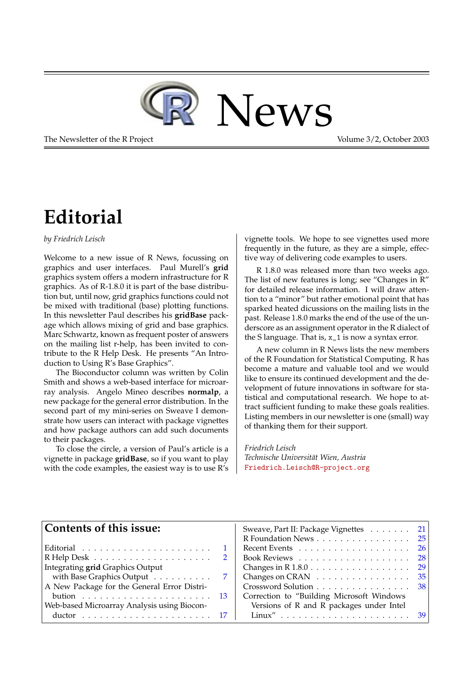

The Newsletter of the R Project **Volume 3/2, October 2003** 

## **Editorial**

<span id="page-0-0"></span>*by Friedrich Leisch*

Welcome to a new issue of R News, focussing on graphics and user interfaces. Paul Murell's **grid** graphics system offers a modern infrastructure for R graphics. As of R-1.8.0 it is part of the base distribution but, until now, grid graphics functions could not be mixed with traditional (base) plotting functions. In this newsletter Paul describes his **gridBase** package which allows mixing of grid and base graphics. Marc Schwartz, known as frequent poster of answers on the mailing list r-help, has been invited to contribute to the R Help Desk. He presents "An Introduction to Using R's Base Graphics".

The Bioconductor column was written by Colin Smith and shows a web-based interface for microarray analysis. Angelo Mineo describes **normalp**, a new package for the general error distribution. In the second part of my mini-series on Sweave I demonstrate how users can interact with package vignettes and how package authors can add such documents to their packages.

To close the circle, a version of Paul's article is a vignette in package **gridBase**, so if you want to play with the code examples, the easiest way is to use R's

vignette tools. We hope to see vignettes used more frequently in the future, as they are a simple, effective way of delivering code examples to users.

R 1.8.0 was released more than two weeks ago. The list of new features is long; see "Changes in R" for detailed release information. I will draw attention to a "minor" but rather emotional point that has sparked heated dicussions on the mailing lists in the past. Release 1.8.0 marks the end of the use of the underscore as an assignment operator in the R dialect of the S language. That is,  $x_1$  is now a syntax error.

A new column in R News lists the new members of the R Foundation for Statistical Computing. R has become a mature and valuable tool and we would like to ensure its continued development and the development of future innovations in software for statistical and computational research. We hope to attract sufficient funding to make these goals realities. Listing members in our newsletter is one (small) way of thanking them for their support.

*Friedrich Leisch Technische Universität Wien, Austria* [Friedrich.Leisch@R-project.org](mailto:Friedrich.Leisch@R-project.org)

| Contents of this issue:                     |                | Sweave, Part II: Package Vignettes 21<br>R Foundation News 25 |  |
|---------------------------------------------|----------------|---------------------------------------------------------------|--|
|                                             |                | Recent Events $\ldots \ldots \ldots \ldots \ldots \ldots 26$  |  |
|                                             | <sup>2</sup>   | Book Reviews $\ldots \ldots \ldots \ldots \ldots \ldots 28$   |  |
| Integrating grid Graphics Output            |                | Changes in R $1.8.0 \ldots \ldots \ldots \ldots \ldots 29$    |  |
| with Base Graphics Output                   | $\overline{7}$ | Changes on CRAN $\ldots \ldots \ldots \ldots \ldots 35$       |  |
| A New Package for the General Error Distri- |                | Crossword Solution 38                                         |  |
|                                             |                | Correction to "Building Microsoft Windows                     |  |
| Web-based Microarray Analysis using Biocon- |                | Versions of R and R packages under Intel                      |  |
|                                             |                |                                                               |  |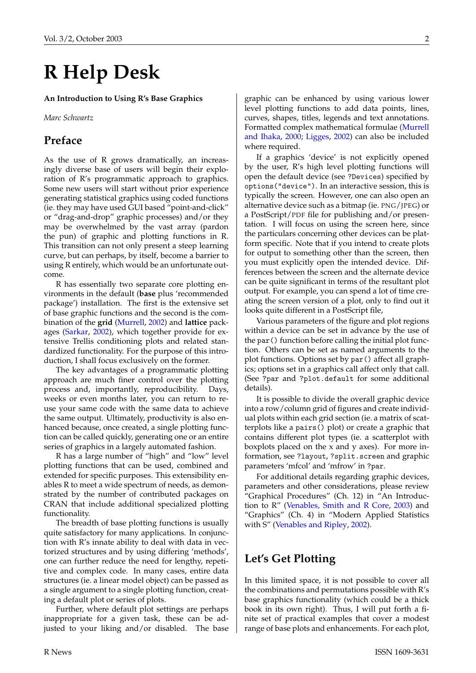# <span id="page-1-1"></span>**R Help Desk**

<span id="page-1-0"></span>**An Introduction to Using R's Base Graphics**

*Marc Schwartz*

#### **Preface**

As the use of R grows dramatically, an increasingly diverse base of users will begin their exploration of R's programmatic approach to graphics. Some new users will start without prior experience generating statistical graphics using coded functions (ie. they may have used GUI based "point-and-click" or "drag-and-drop" graphic processes) and/or they may be overwhelmed by the vast array (pardon the pun) of graphic and plotting functions in R. This transition can not only present a steep learning curve, but can perhaps, by itself, become a barrier to using R entirely, which would be an unfortunate outcome.

R has essentially two separate core plotting environments in the default (**base** plus 'recommended package') installation. The first is the extensive set of base graphic functions and the second is the combination of the **grid** [\(Murrell,](#page-5-0) [2002\)](#page-5-0) and **lattice** packages [\(Sarkar,](#page-5-1) [2002\)](#page-5-1), which together provide for extensive Trellis conditioning plots and related standardized functionality. For the purpose of this introduction, I shall focus exclusively on the former.

The key advantages of a programmatic plotting approach are much finer control over the plotting process and, importantly, reproducibility. Days, weeks or even months later, you can return to reuse your same code with the same data to achieve the same output. Ultimately, productivity is also enhanced because, once created, a single plotting function can be called quickly, generating one or an entire series of graphics in a largely automated fashion.

R has a large number of "high" and "low" level plotting functions that can be used, combined and extended for specific purposes. This extensibility enables R to meet a wide spectrum of needs, as demonstrated by the number of contributed packages on CRAN that include additional specialized plotting functionality.

The breadth of base plotting functions is usually quite satisfactory for many applications. In conjunction with R's innate ability to deal with data in vectorized structures and by using differing 'methods', one can further reduce the need for lengthy, repetitive and complex code. In many cases, entire data structures (ie. a linear model object) can be passed as a single argument to a single plotting function, creating a default plot or series of plots.

Further, where default plot settings are perhaps inappropriate for a given task, these can be adjusted to your liking and/or disabled. The base graphic can be enhanced by using various lower level plotting functions to add data points, lines, curves, shapes, titles, legends and text annotations. Formatted complex mathematical formulae [\(Murrell](#page-5-2) [and Ihaka,](#page-5-2) [2000;](#page-5-2) [Ligges,](#page-5-3) [2002\)](#page-5-3) can also be included where required.

If a graphics 'device' is not explicitly opened by the user, R's high level plotting functions will open the default device (see ?Devices) specified by options("device"). In an interactive session, this is typically the screen. However, one can also open an alternative device such as a bitmap (ie. PNG/JPEG) or a PostScript/PDF file for publishing and/or presentation. I will focus on using the screen here, since the particulars concerning other devices can be platform specific. Note that if you intend to create plots for output to something other than the screen, then you must explicitly open the intended device. Differences between the screen and the alternate device can be quite significant in terms of the resultant plot output. For example, you can spend a lot of time creating the screen version of a plot, only to find out it looks quite different in a PostScript file,

Various parameters of the figure and plot regions within a device can be set in advance by the use of the par() function before calling the initial plot function. Others can be set as named arguments to the plot functions. Options set by par() affect all graphics; options set in a graphics call affect only that call. (See ?par and ?plot.default for some additional details).

It is possible to divide the overall graphic device into a row/column grid of figures and create individual plots within each grid section (ie. a matrix of scatterplots like a pairs() plot) or create a graphic that contains different plot types (ie. a scatterplot with boxplots placed on the x and y axes). For more information, see ?layout, ?split.screen and graphic parameters 'mfcol' and 'mfrow' in ?par.

For additional details regarding graphic devices, parameters and other considerations, please review "Graphical Procedures" (Ch. 12) in "An Introduction to R" [\(Venables, Smith and R Core,](#page-5-4) [2003\)](#page-5-4) and "Graphics" (Ch. 4) in "Modern Applied Statistics with S" [\(Venables and Ripley,](#page-5-5) [2002\)](#page-5-5).

### **Let's Get Plotting**

In this limited space, it is not possible to cover all the combinations and permutations possible with R's base graphics functionality (which could be a thick book in its own right). Thus, I will put forth a finite set of practical examples that cover a modest range of base plots and enhancements. For each plot,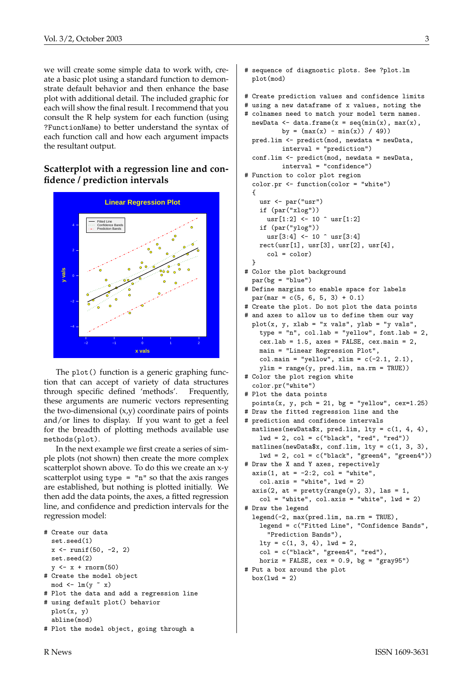we will create some simple data to work with, create a basic plot using a standard function to demonstrate default behavior and then enhance the base plot with additional detail. The included graphic for each will show the final result. I recommend that you consult the R help system for each function (using ?FunctionName) to better understand the syntax of each function call and how each argument impacts the resultant output.

#### **Scatterplot with a regression line and confidence / prediction intervals**



The plot() function is a generic graphing function that can accept of variety of data structures through specific defined 'methods'. Frequently, these arguments are numeric vectors representing the two-dimensional (x,y) coordinate pairs of points and/or lines to display. If you want to get a feel for the breadth of plotting methods available use methods(plot).

In the next example we first create a series of simple plots (not shown) then create the more complex scatterplot shown above. To do this we create an x-y scatterplot using type  $=$  "n" so that the axis ranges are established, but nothing is plotted initially. We then add the data points, the axes, a fitted regression line, and confidence and prediction intervals for the regression model:

```
# Create our data
  set.seed(1)
  x \leftarrow runif(50, -2, 2)set.seed(2)
  y \leftarrow x + \text{norm}(50)
```

```
# Create the model object
 mod <- lm(y \sim x)
```

```
# Plot the data and add a regression line
```

```
# using default plot() behavior
 plot(x, y)
 abline(mod)
```

```
# Plot the model object, going through a
```

```
# sequence of diagnostic plots. See ?plot.lm
 plot(mod)
```

```
# Create prediction values and confidence limits
```

```
# using a new dataframe of x values, noting the
```

```
# colnames need to match your model term names.
 newData \leq data.frame(x = seq(min(x), max(x),
         by = (max(x) - min(x)) / 49)pred.lim <- predict(mod, newdata = newData,
```

```
interval = "prediction")
conf.lim <- predict(mod, newdata = newData,
```

```
interval = "confidence")
# Function to color plot region
  color.pr <- function(color = "white")
  {
```

```
usr <- par("usr")
if (par("xlog"))
  usr[1:2] < -10 vars[1:2]if (par("ylog"))
  usr[3:4] < -10 vars[3:4]rect(usr[1], usr[3], usr[2], usr[4],
  col = color)
```

```
}
```
# Color the plot background  $par(bg = "blue")$ 

```
# Define margins to enable space for labels
 par(max = c(5, 6, 5, 3) + 0.1)
```

```
# Create the plot. Do not plot the data points
```

```
# and axes to allow us to define them our way
 plot(x, y, xlab = "x vals", ylab = "y vals",
   type = "n", col.lab = "yellow", font.lab = 2,cex.1ab = 1.5, axes = FALSE, cex.mainloop = 2,
   main = "Linear Regression Plot",
   col.mainloop = "yellow", xlim = c(-2.1, 2.1),ylim = range(y, pred.lim, na.rm = TRUE))
```

```
# Color the plot region white
  color.pr("white")
```

```
# Plot the data points
  points(x, y, pch = 21, bg = "yellow", cex=1.25)
```

```
# Draw the fitted regression line and the
```

```
# prediction and confidence intervals
 matlines(newData$x, pred.lim, lty = c(1, 4, 4),
   1wd = 2, col = c("black", "red", "red"))matlines(newData$x, conf.lim, lty = c(1, 3, 3),
```

```
lwd = 2, col = c("black", "green4", "green4")# Draw the X and Y axes, repectively
```

```
axis(1, at = -2:2, col = "white",
 col.axis = "white", 1wd = 2)
```

```
axis(2, at = pretty(range(y), 3), las = 1,col = "white", col-axis = "white", lwd = 2)
```

```
# Draw the legend
  legend(-2, max(pred.lim, na.rm = TRUE),
    legend = c("Fitted Line", "Confidence Bands",
      "Prediction Bands"),
   lty = c(1, 3, 4), lwd = 2,col = c("black", "green4", "red"),
```

```
horiz = FALSE, cex = 0.9, bg = "gray95")
```

```
# Put a box around the plot
```

```
box(1wd = 2)
```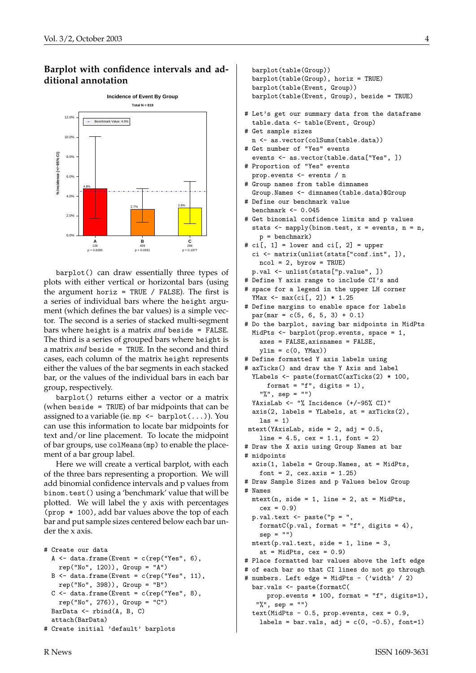#### **Barplot with confidence intervals and additional annotation**



barplot() can draw essentially three types of plots with either vertical or horizontal bars (using the argument horiz = TRUE / FALSE). The first is a series of individual bars where the height argument (which defines the bar values) is a simple vector. The second is a series of stacked multi-segment bars where height is a matrix *and* beside = FALSE. The third is a series of grouped bars where height is a matrix *and* beside = TRUE. In the second and third cases, each column of the matrix height represents either the values of the bar segments in each stacked bar, or the values of the individual bars in each bar group, respectively.

barplot() returns either a vector or a matrix (when beside = TRUE) of bar midpoints that can be assigned to a variable (ie. mp  $\leq$  barplot(...)). You can use this information to locate bar midpoints for text and/or line placement. To locate the midpoint of bar groups, use colMeans(mp) to enable the placement of a bar group label.

Here we will create a vertical barplot, with each of the three bars representing a proportion. We will add binomial confidence intervals and p values from binom.test() using a 'benchmark' value that will be plotted. We will label the y axis with percentages (prop \* 100), add bar values above the top of each bar and put sample sizes centered below each bar under the x axis.

```
# Create our data
  A \leftarrow data-frame(Event = c(rep("Yes", 6)),rep("No", 120)), Group = "A")B \le - data.frame(Event = c(rep("Yes", 11),
    rep("No", 398)), Group = "B")
  C \leftarrow data.frame(Event = c(rep("Yes", 8),
    rep("No", 276)), Group = "C")
 BarData <- rbind(A, B, C)
  attach(BarData)
# Create initial 'default' barplots
```

```
barplot(table(Group))
  barplot(table(Group), horiz = TRUE)
  barplot(table(Event, Group))
  barplot(table(Event, Group), beside = TRUE)
# Let's get our summary data from the dataframe
  table.data <- table(Event, Group)
# Get sample sizes
 n <- as.vector(colSums(table.data))
# Get number of "Yes" events
  events <- as.vector(table.data["Yes", ])
# Proportion of "Yes" events
  prop.events <- events / n
# Group names from table dimnames
  Group.Names <- dimnames(table.data)$Group
# Define our benchmark value
  benchmark <- 0.045
# Get binomial confidence limits and p values
  stats \leq mapply(binom.test, x = events, n = n,
   p = benchmark)
# ci[, 1] = lower and ci[, 2] = upper
  ci <- matrix(unlist(stats["conf.int", ]),
   ncol = 2, byrow = TRUE)
 p.val <- unlist(stats["p.value", ])
# Define Y axis range to include CI's and
# space for a legend in the upper LH corner
  YMax <- max(ci[, 2]) * 1.25
# Define margins to enable space for labels
  par(max = c(5, 6, 5, 3) + 0.1)# Do the barplot, saving bar midpoints in MidPts
 MidPts <- barplot(prop.events, space = 1,
    axes = FALSE,axisnames = FALSE,
   ylim = c(0, YMax)# Define formatted Y axis labels using
# axTicks() and draw the Y Axis and label
  YLabels <- paste(formatC(axTicks(2) * 100,
      format = "f", digits = 1),
    "%", sep = "")
  YAxisLab <- "% Incidence (+/-95% CI)"
  axis(2, labels = YLabels, at = axTicks(2),\text{las} = 1mtext(YAxisLab, side = 2, adj = 0.5,line = 4.5, cex = 1.1, font = 2)# Draw the X axis using Group Names at bar
# midpoints
  axis(1, labels = Group.Names, at = MidPts,font = 2, cex. axis = 1.25)# Draw Sample Sizes and p Values below Group
# Names
 mtext{text}(n, side = 1, line = 2, at = MidPts,cex = 0.9p.val.text <- paste("p = ",
    formatC(p.val, format = "f", digits = 4),
    sep = "")mtext{text}(p.val.text, side = 1, line = 3,at = MidPts, cex = 0.9)# Place formatted bar values above the left edge
# of each bar so that CI lines do not go through
# numbers. Left edge = MidPts - ('width' / 2)
  bar.vals <- paste(formatC(
     prop.events * 100, format = "f", digits=1),
   "%", sep = "")
  text(MidPts - 0.5, prop.events, cex = 0.9,
```
labels = bar.vals, adj =  $c(0, -0.5)$ , font=1)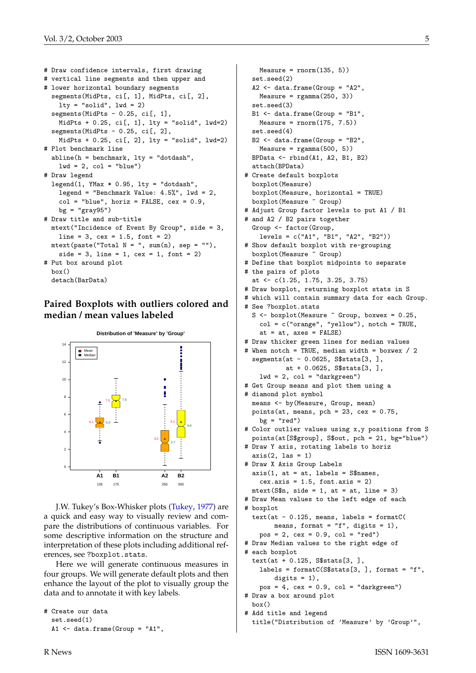```
# Draw confidence intervals, first drawing
# vertical line segments and then upper and
# lower horizontal boundary segments
  segments(MidPts, ci[, 1], MidPts, ci[, 2],
    lty = "solid", lwd = 2)segments(MidPts - 0.25, ci[, 1],
    MidPts + 0.25, ci[, 1], lty = "solid", lwd=2)
  segments(MidPts - 0.25, ci[, 2],
    MidPts + 0.25, ci[, 2], lty = "solid", lwd=2)
# Plot benchmark line
  abline(h = benchmark, lty = "dotdash",
    1wd = 2, col = "blue")# Draw legend
  legend(1, YMax * 0.95, lty = "dotdash",legend = "Benchmark Value: 4.5\%", lwd = 2,
    col = "blue", horiz = FALSE, cex = 0.9,bg = "gray95")# Draw title and sub-title
  mtext("Incidence of Event By Group", side = 3,
    line = 3, cex = 1.5, font = 2)mtext{text} (past("Total N = ", sum(n), sep = ""),side = 3, line = 1, cex = 1, font = 2)# Put box around plot
  box()
  detach(BarData)
```
#### **Paired Boxplots with outliers colored and median / mean values labeled**



J.W. Tukey's Box-Whisker plots [\(Tukey,](#page-5-6) [1977\)](#page-5-6) are a quick and easy way to visually review and compare the distributions of continuous variables. For some descriptive information on the structure and interpretation of these plots including additional references, see ?boxplot.stats.

Here we will generate continuous measures in four groups. We will generate default plots and then enhance the layout of the plot to visually group the data and to annotate it with key labels.

```
# Create our data
  set.seed(1)
  A1 <- data.frame(Group = "A1",
```

```
Measure = rnorm(135, 5)set.seed(2)
  A2 \leq - data.frame(Group = "A2",
   Measure = rgamma(250, 3)set.seed(3)
  B1 <- data.frame(Group = "B1",
   Measure = rnorm(175, 7.5)set.seed(4)
 B2 <- data.frame(Group = "B2",
    Measure = rgamma(500, 5))BPData <- rbind(A1, A2, B1, B2)
  attach(BPData)
# Create default boxplots
  boxplot(Measure)
  boxplot(Measure, horizontal = TRUE)
  boxplot(Measure ~ Group)
# Adjust Group factor levels to put A1 / B1
# and A2 / B2 pairs together
  Group <- factor(Group,
    levels = c("A1", "B1", "A2", "B2"))
# Show default boxplot with re-grouping
  boxplot(Measure ~ Group)
# Define that boxplot midpoints to separate
# the pairs of plots
  at <- c(1.25, 1.75, 3.25, 3.75)
# Draw boxplot, returning boxplot stats in S
# which will contain summary data for each Group.
# See ?boxplot.stats
 S <- boxplot (Measure \degree Group, boxwex = 0.25,
    col = c("orange", "yellow"), notch = TRUE,
    at = at, axes = FALSE)
# Draw thicker green lines for median values
# When notch = TRUE, median width = boxwex / 2
  segments(at - 0.0625, S$stats[3, ],
          at + 0.0625, S$stats[3, ],
    1wd = 2, col = "darkgreen")# Get Group means and plot them using a
# diamond plot symbol
 means <- by(Measure, Group, mean)
 points(at, means, pch = 23, cex = 0.75,
   bg = "red"# Color outlier values using x,y positions from S
 points(at[S$group], S$out, pch = 21, bg="blue")
# Draw Y axis, rotating labels to horiz
 axis(2, 1as = 1)# Draw X Axis Group Labels
  axis(1, at = at, labels = S$names,cex.axis = 1.5, font.axis = 2)mtext{text(S$$n, side = 1, at = at, line = 3)}# Draw Mean values to the left edge of each
# boxplot
  text{text}(-0.125, \text{means}, \text{labels} = \text{formatC}(means, format = "f", digits = 1),
   pos = 2, cex = 0.9, col = "red")
# Draw Median values to the right edge of
# each boxplot
  text(at + 0.125, S$stats[3, ],
    labels = formatC(S$stats[3, ], format = "f",digits = 1),
    pos = 4, cex = 0.9, col = "darkgreen")
# Draw a box around plot
 hor()# Add title and legend
  title("Distribution of 'Measure' by 'Group'",
```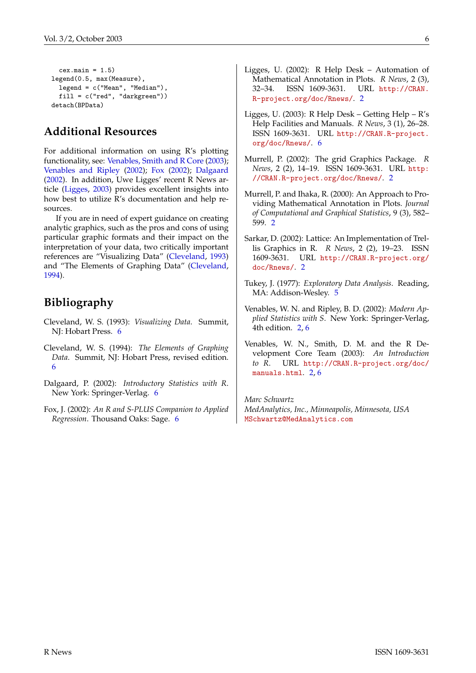```
cex.mainloop = 1.5)legend(0.5, max(Measure),
  legend = c("Mean", "Median"),
  fill = c("red", "darkgreen"))
detach(BPData)
```
### **Additional Resources**

For additional information on using R's plotting functionality, see: [Venables, Smith and R Core](#page-5-4) [\(2003\)](#page-5-4); [Venables and Ripley](#page-5-5) [\(2002\)](#page-5-5); [Fox](#page-5-7) [\(2002\)](#page-5-7); [Dalgaard](#page-5-8) [\(2002\)](#page-5-8). In addition, Uwe Ligges' recent R News article [\(Ligges,](#page-5-9) [2003\)](#page-5-9) provides excellent insights into how best to utilize R's documentation and help resources.

If you are in need of expert guidance on creating analytic graphics, such as the pros and cons of using particular graphic formats and their impact on the interpretation of your data, two critically important references are "Visualizing Data" [\(Cleveland,](#page-5-10) [1993\)](#page-5-10) and "The Elements of Graphing Data" [\(Cleveland,](#page-5-11) [1994\)](#page-5-11).

### **Bibliography**

- <span id="page-5-10"></span>Cleveland, W. S. (1993): *Visualizing Data*. Summit, NJ: Hobart Press. [6](#page-5-12)
- <span id="page-5-11"></span>Cleveland, W. S. (1994): *The Elements of Graphing Data*. Summit, NJ: Hobart Press, revised edition. [6](#page-5-12)
- <span id="page-5-8"></span>Dalgaard, P. (2002): *Introductory Statistics with R*. New York: Springer-Verlag. [6](#page-5-12)
- <span id="page-5-7"></span>Fox, J. (2002): *An R and S-PLUS Companion to Applied Regression*. Thousand Oaks: Sage. [6](#page-5-12)
- <span id="page-5-3"></span>Ligges, U. (2002): R Help Desk – Automation of Mathematical Annotation in Plots. *R News*, 2 (3), 32–34. ISSN 1609-3631. URL [http://CRAN.](http://CRAN.R-project.org/doc/Rnews/) [R-project.org/doc/Rnews/](http://CRAN.R-project.org/doc/Rnews/). [2](#page-1-1)
- <span id="page-5-9"></span>Ligges, U. (2003): R Help Desk – Getting Help – R's Help Facilities and Manuals. *R News*, 3 (1), 26–28. ISSN 1609-3631. URL [http://CRAN.R-project.](http://CRAN.R-project.org/doc/Rnews/) [org/doc/Rnews/](http://CRAN.R-project.org/doc/Rnews/). [6](#page-5-12)
- <span id="page-5-0"></span>Murrell, P. (2002): The grid Graphics Package. *R News*, 2 (2), 14–19. ISSN 1609-3631. URL [http:](http://CRAN.R-project.org/doc/Rnews/) [//CRAN.R-project.org/doc/Rnews/](http://CRAN.R-project.org/doc/Rnews/). [2](#page-1-1)
- <span id="page-5-2"></span>Murrell, P. and Ihaka, R. (2000): An Approach to Providing Mathematical Annotation in Plots. *Journal of Computational and Graphical Statistics*, 9 (3), 582– 599. [2](#page-1-1)
- <span id="page-5-1"></span>Sarkar, D. (2002): Lattice: An Implementation of Trellis Graphics in R. *R News*, 2 (2), 19–23. ISSN 1609-3631. URL [http://CRAN.R-project.org/](http://CRAN.R-project.org/doc/Rnews/) [doc/Rnews/](http://CRAN.R-project.org/doc/Rnews/). [2](#page-1-1)
- <span id="page-5-6"></span>Tukey, J. (1977): *Exploratory Data Analysis*. Reading, MA: Addison-Wesley. [5](#page-4-0)
- <span id="page-5-5"></span>Venables, W. N. and Ripley, B. D. (2002): *Modern Applied Statistics with S*. New York: Springer-Verlag, 4th edition. [2,](#page-1-1) [6](#page-5-12)
- <span id="page-5-4"></span>Venables, W. N., Smith, D. M. and the R Development Core Team (2003): *An Introduction to R*. URL [http://CRAN.R-project.org/doc/](http://CRAN.R-project.org/doc/manuals.html) [manuals.html](http://CRAN.R-project.org/doc/manuals.html). [2,](#page-1-1) [6](#page-5-12)

*Marc Schwartz MedAnalytics, Inc., Minneapolis, Minnesota, USA* [MSchwartz@MedAnalytics.com](mailto:MSchwartz@MedAnalytics.com)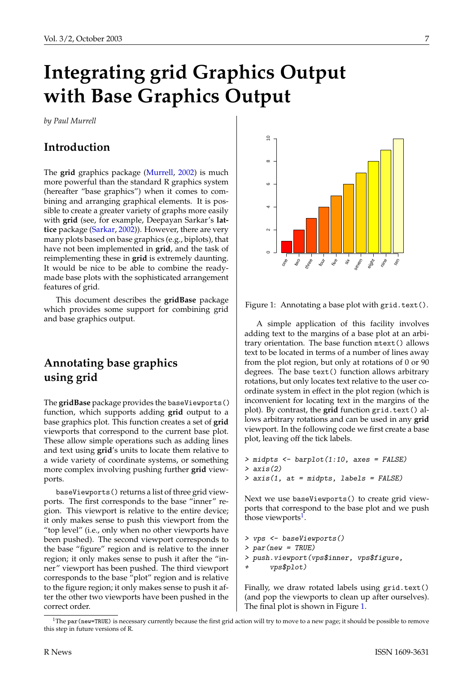# <span id="page-6-3"></span>**Integrating grid Graphics Output with Base Graphics Output**

<span id="page-6-0"></span>*by Paul Murrell*

### **Introduction**

The **grid** graphics package [\(Murrell,](#page-11-0) [2002\)](#page-11-0) is much more powerful than the standard R graphics system (hereafter "base graphics") when it comes to combining and arranging graphical elements. It is possible to create a greater variety of graphs more easily with **grid** (see, for example, Deepayan Sarkar's **lattice** package [\(Sarkar,](#page-11-1) [2002\)](#page-11-1)). However, there are very many plots based on base graphics (e.g., biplots), that have not been implemented in **grid**, and the task of reimplementing these in **grid** is extremely daunting. It would be nice to be able to combine the readymade base plots with the sophisticated arrangement features of grid.

This document describes the **gridBase** package which provides some support for combining grid and base graphics output.

## **Annotating base graphics using grid**

The **gridBase** package provides the baseViewports() function, which supports adding **grid** output to a base graphics plot. This function creates a set of **grid** viewports that correspond to the current base plot. These allow simple operations such as adding lines and text using **grid**'s units to locate them relative to a wide variety of coordinate systems, or something more complex involving pushing further **grid** viewports.

baseViewports() returns a list of three grid viewports. The first corresponds to the base "inner" region. This viewport is relative to the entire device; it only makes sense to push this viewport from the "top level" (i.e., only when no other viewports have been pushed). The second viewport corresponds to the base "figure" region and is relative to the inner region; it only makes sense to push it after the "inner" viewport has been pushed. The third viewport corresponds to the base "plot" region and is relative to the figure region; it only makes sense to push it after the other two viewports have been pushed in the correct order.



<span id="page-6-2"></span>Figure 1: Annotating a base plot with grid.text().

A simple application of this facility involves adding text to the margins of a base plot at an arbitrary orientation. The base function mtext() allows text to be located in terms of a number of lines away from the plot region, but only at rotations of 0 or 90 degrees. The base text() function allows arbitrary rotations, but only locates text relative to the user coordinate system in effect in the plot region (which is inconvenient for locating text in the margins of the plot). By contrast, the **grid** function grid.text() allows arbitrary rotations and can be used in any **grid** viewport. In the following code we first create a base plot, leaving off the tick labels.

```
> midpts <- barplot(1:10, axes = FALSE)
> axis(2)
> axis(1, at = midpts, labels = FALSE)
```
Next we use baseViewports() to create grid viewports that correspond to the base plot and we push those viewports<sup>[1](#page-6-1)</sup>.

```
> vps <- baseViewports()
> par(new = TRUE)
> push.viewport(vps$inner, vps$figure,
      vps$plot)
```
Finally, we draw rotated labels using grid.text() (and pop the viewports to clean up after ourselves). The final plot is shown in Figure [1.](#page-6-2)

<span id="page-6-1"></span> $1$ The par (new=TRUE) is necessary currently because the first grid action will try to move to a new page; it should be possible to remove this step in future versions of R.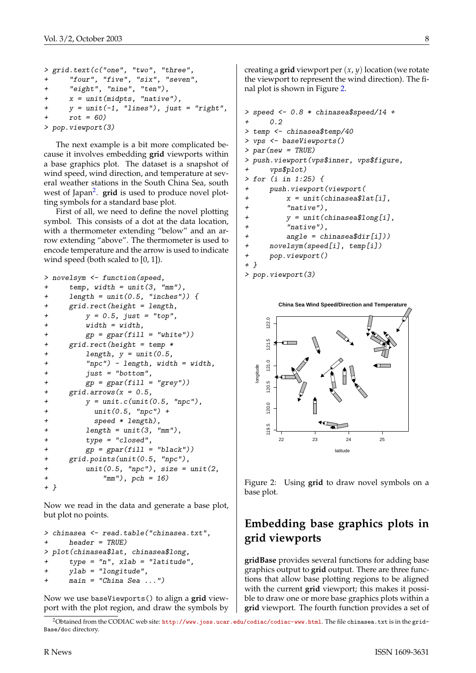```
> grid.text(c("one", "two", "three",
+ "four", "five", "six", "seven",
+ "eight", "nine", "ten"),
     x = unit(midpts, 'native''),
     y = unit(-1, "lines"), just = "right",+ rot = 60)
> pop.viewport(3)
```
The next example is a bit more complicated because it involves embedding **grid** viewports within a base graphics plot. The dataset is a snapshot of wind speed, wind direction, and temperature at several weather stations in the South China Sea, south west of Japan<sup>[2](#page-7-0)</sup>. grid is used to produce novel plotting symbols for a standard base plot.

First of all, we need to define the novel plotting symbol. This consists of a dot at the data location, with a thermometer extending "below" and an arrow extending "above". The thermometer is used to encode temperature and the arrow is used to indicate wind speed (both scaled to [0, 1]).

```
> novelsym <- function(speed,
+ temp, width = unit(3, "mm"),
+ length = unit(0.5, "inches")) {
+ grid.rect(height = length,
+ y = 0.5, just = "top",
+ width = width,
+ gp = gpar(fill = "white"))
+ grid.rect(height = temp *
+ length, y = unit(0.5,
+ "npc") - length, width = width,
+ just = "bottom",
+ gp = gpar(fill = "grey")+ grid.array(x = 0.5,+ y = unit.c(unit(0.5, "npc"),
+ unit(0.5, "npc") +
+ speed * length),
+ length = unit(3, "mm"),
+ type = "closed",
+ gp = gpar(fill = "black")+ grid.points(unit(0.5, "npc"),
+ unit(0.5, "npc"), size = unit(2,+ "mm"), pch = 16)
+ }
```
Now we read in the data and generate a base plot, but plot no points.

```
> chinasea <- read.table("chinasea.txt",
+ header = TRUE)
> plot(chinasea$lat, chinasea$long,
     type = "n", xlab = "latitude",+ ylab = "longitude",
     main = "China Sea ...")
```
Now we use baseViewports() to align a **grid** viewport with the plot region, and draw the symbols by creating a **grid** viewport per (*x*, *y*) location (we rotate the viewport to represent the wind direction). The final plot is shown in Figure [2.](#page-7-1)

```
> speed <- 0.8 * chinasea$speed/14 +
+ 0.2
> temp <- chinasea$temp/40
> vps <- baseViewports()
> par(new = TRUE)
> push.viewport(vps$inner, vps$figure,
     vps$plot)
> for (i in 1:25) {
+ push.viewport(viewport(
+ x = unit(chnasea$lat[i],+ "native"),
+ y = unit(chinasea$long[i],
+ "native"),
+ angle = chinasea$dir[i]))
+ novelsym(speed[i], temp[i])
+ pop.viewport()
+ }
> pop.viewport(3)
```


<span id="page-7-1"></span>Figure 2: Using **grid** to draw novel symbols on a base plot.

## **Embedding base graphics plots in grid viewports**

**gridBase** provides several functions for adding base graphics output to **grid** output. There are three functions that allow base plotting regions to be aligned with the current **grid** viewport; this makes it possible to draw one or more base graphics plots within a **grid** viewport. The fourth function provides a set of

<span id="page-7-0"></span><sup>2</sup>Obtained from the CODIAC web site: <http://www.joss.ucar.edu/codiac/codiac-www.html>. The file chinasea.txt is in the grid-Base/doc directory.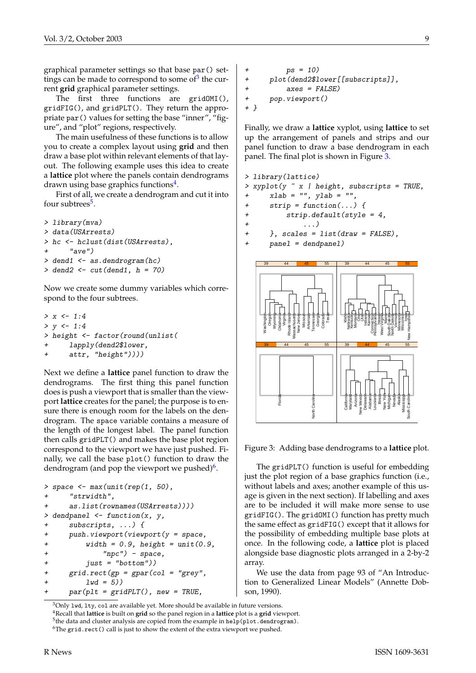graphical parameter settings so that base par() settings can be made to correspond to some of $3$  the current **grid** graphical parameter settings.

The first three functions are gridOMI(), gridFIG(), and gridPLT(). They return the appropriate par() values for setting the base "inner", "figure", and "plot" regions, respectively.

The main usefulness of these functions is to allow you to create a complex layout using **grid** and then draw a base plot within relevant elements of that layout. The following example uses this idea to create a **lattice** plot where the panels contain dendrograms drawn using base graphics functions<sup>[4](#page-8-1)</sup>.

First of all, we create a dendrogram and cut it into four subtrees<sup>[5](#page-8-2)</sup>.

```
> library(mva)
> data(USArrests)
> hc <- hclust(dist(USArrests),
      "ave")
> dend1 <- as.dendrogram(hc)> dend2 <- cut(dend1, h = 70)
```
Now we create some dummy variables which correspond to the four subtrees.

```
> x < -1:4> y < -1:4> height <- factor(round(unlist(
     lapply(dend2$lower,
     attr, "height"))))
```
Next we define a **lattice** panel function to draw the dendrograms. The first thing this panel function does is push a viewport that is smaller than the viewport **lattice** creates for the panel; the purpose is to ensure there is enough room for the labels on the dendrogram. The space variable contains a measure of the length of the longest label. The panel function then calls gridPLT() and makes the base plot region correspond to the viewport we have just pushed. Finally, we call the base plot() function to draw the dendrogram (and pop the viewport we pushed)<sup>[6](#page-8-3)</sup>.

```
> space \leq max(unit(rep(1, 50),
+ "strwidth",
+ as.list(rownames(USArrests))))
> dendpanel <- function(x, y, z)+ subscripts, ...) {
+ push.viewport(viewport(y = space,
+ width = 0.9, height = unit(0.9,+ "npc") - space,
+ just = "bottom"))
+ grid.rect(gp = gpar(col = "grey",
+ 1wd = 5))
     par(plt = gridPLT(), new = TRUE,
```

```
ps = 10)+ plot(dend2$lower[[subscripts]],
+ axes = FALSE)
+ pop.viewport()
+ }
```
Finally, we draw a **lattice** xyplot, using **lattice** to set up the arrangement of panels and strips and our panel function to draw a base dendrogram in each panel. The final plot is shown in Figure [3.](#page-8-4)

```
> library(lattice)
> xyplot(y ~ x | height, subscripts = TRUE,
+ xlab = "", ylab = "",+ strip = function(...) {
+ strip.default(style = 4,
+ ...)
+ }, scales = list(draw = FALSE),
+ panel = dendpanel)
```


<span id="page-8-4"></span>Figure 3: Adding base dendrograms to a **lattice** plot.

The gridPLT() function is useful for embedding just the plot region of a base graphics function (i.e., without labels and axes; another example of this usage is given in the next section). If labelling and axes are to be included it will make more sense to use gridFIG(). The gridOMI() function has pretty much the same effect as gridFIG() except that it allows for the possibility of embedding multiple base plots at once. In the following code, a **lattice** plot is placed alongside base diagnostic plots arranged in a 2-by-2 array.

We use the data from page 93 of "An Introduction to Generalized Linear Models" (Annette Dobson, 1990).

<span id="page-8-1"></span><span id="page-8-0"></span> $3$ Only 1wd, 1ty, co1 are available yet. More should be available in future versions. <sup>4</sup>Recall that **lattice** is built on **grid** so the panel region in a **lattice** plot is a **grid** viewport.  $^5$ the data and cluster analysis are copied from the example in <code>help(plot.dendrogram).</code>

<span id="page-8-3"></span><span id="page-8-2"></span> $6$ The grid.rect() call is just to show the extent of the extra viewport we pushed.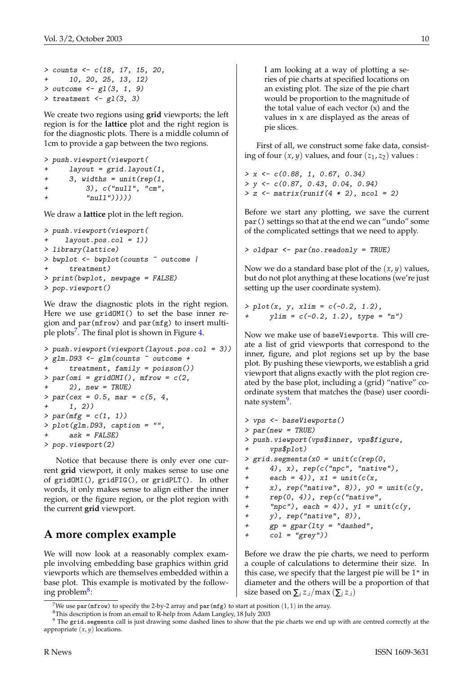```
> counts <- c(18, 17, 15, 20,
+ 10, 20, 25, 13, 12)
> outcome <- gl(3, 1, 9)> treatment \leq gl(3, 3)
```
We create two regions using **grid** viewports; the left region is for the **lattice** plot and the right region is for the diagnostic plots. There is a middle column of 1cm to provide a gap between the two regions.

```
> push.viewport(viewport(
+ layout = grid.layout(1,
+ 3, widths = unit(rep(1,+ 3), c("null", "cm",
        "null"))))
```
We draw a **lattice** plot in the left region.

```
> push.viewport(viewport(
    layout.pos.col = 1))
> library(lattice)
> bwplot <- bwplot(counts ~ outcome |
      treatment)
> print(bwplot, newpage = FALSE)
> pop.viewport()
```
We draw the diagnostic plots in the right region. Here we use gridOMI() to set the base inner region and par(mfrow) and par(mfg) to insert multi-ple plots<sup>[7](#page-9-0)</sup>. The final plot is shown in Figure [4.](#page-10-0)

```
> push.viewport(viewport(layout.pos.col = 3))
> glm.D93 <- glm(counts ~ outcome +
     treatment, family = poisson()> par(omi = gridOMI(), mfrow = c(2,+ 2), new = TRUE)
> par(cex = 0.5, mar = c(5, 4,1, 2))
> par(mfg = c(1, 1))> plot(glm.D93, caption = "",
     ask = FALSE)> pop.viewport(2)
```
Notice that because there is only ever one current **grid** viewport, it only makes sense to use one of gridOMI(), gridFIG(), or gridPLT(). In other words, it only makes sense to align either the inner region, or the figure region, or the plot region with the current **grid** viewport.

## **A more complex example**

We will now look at a reasonably complex example involving embedding base graphics within grid viewports which are themselves embedded within a base plot. This example is motivated by the follow-ing problem<sup>[8](#page-9-1)</sup>:

I am looking at a way of plotting a series of pie charts at specified locations on an existing plot. The size of the pie chart would be proportion to the magnitude of the total value of each vector  $(x)$  and the values in x are displayed as the areas of pie slices.

First of all, we construct some fake data, consisting of four  $(x, y)$  values, and four  $(z_1, z_2)$  values :

```
> x \leftarrow c(0.88, 1, 0.67, 0.34)> y <- c(0.87, 0.43, 0.04, 0.94)
> z \leftarrow matrix(runif(4 * 2), ncol = 2)
```
Before we start any plotting, we save the current par() settings so that at the end we can "undo" some of the complicated settings that we need to apply.

```
> oldpar <- par(no.readonly = TRUE)
```
Now we do a standard base plot of the (*x*, *y*) values, but do not plot anything at these locations (we're just setting up the user coordinate system).

 $> plot(x, y, xlim = c(-0.2, 1.2),$  $ylim = c(-0.2, 1.2), type = "n")$ 

Now we make use of baseViewports. This will create a list of grid viewports that correspond to the inner, figure, and plot regions set up by the base plot. By pushing these viewports, we establish a grid viewport that aligns exactly with the plot region created by the base plot, including a (grid) "native" coordinate system that matches the (base) user coordi-nate system<sup>[9](#page-9-2)</sup>.

```
> vps <- baseViewports()
> par(new = TRUE)
> push.viewport(vps$inner, vps$figure,
+ vps$plot)
> grid. segments(x0 = unit(c(rep(0,4), x), rep(c("npc", "native"),
+ each = 4)), x1 = unit(c(x,+ x), rep("native", 8)), y0 = unit(c(y,+ rep(0, 4)), rep(c("native",
+ "npc"), each = 4)), y1 = unit(c(y,+ y), rep("native", 8)),
+ gp = gpar(lty = "dashed",
+ col = "grey")
```
Before we draw the pie charts, we need to perform a couple of calculations to determine their size. In this case, we specify that the largest pie will be 1" in diameter and the others will be a proportion of that size based on  $\sum_i z_i / max(\sum_i z_i)$ 

<span id="page-9-0"></span><sup>&</sup>lt;sup>7</sup>We use par(mfrow) to specify the 2-by-2 array and par(mfg) to start at position  $(1, 1)$  in the array.

<span id="page-9-2"></span><span id="page-9-1"></span><sup>8</sup>This description is from an email to R-help from Adam Langley, 18 July 2003

<sup>&</sup>lt;sup>9</sup> The grid.segments call is just drawing some dashed lines to show that the pie charts we end up with are centred correctly at the appropriate (*x*, *y*) locations.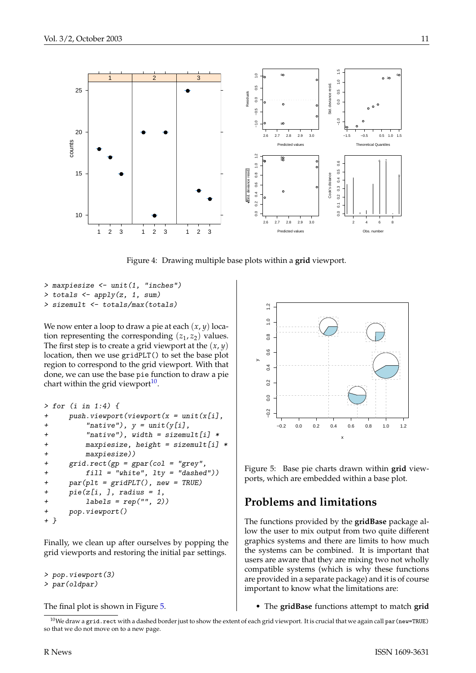

<span id="page-10-0"></span>Figure 4: Drawing multiple base plots within a **grid** viewport.

> maxpiesize <- unit(1, "inches")  $>$  totals  $\leq$  apply $(z, 1, sum)$ > sizemult <- totals/max(totals)

We now enter a loop to draw a pie at each (*x*, *y*) location representing the corresponding  $(z_1, z_2)$  values. The first step is to create a grid viewport at the (*x*, *y*) location, then we use gridPLT() to set the base plot region to correspond to the grid viewport. With that done, we can use the base pie function to draw a pie chart within the grid viewport $10$ .

```
> for (i in 1:4) {
+ push.viewport(viewport(x = unit(x[i],
+ "native"), y = unit(y[i],
+ "native"), width = sizemult[i] *
+ maxpiesize, height = sizemult[i] *
+ maxpiesize))
+ grid.rect(gp = gpar(col = "grey",
+ fill = "white", lty = "dashed"))
+ par(plt = gridPLT(), new = TRUE)
+ pie(z[i, ], radius = 1,
+ labels = rep("", 2))
+ pop.viewport()
+ }
```
Finally, we clean up after ourselves by popping the grid viewports and restoring the initial par settings.

```
> pop.viewport(3)
> par(oldpar)
```
The final plot is shown in Figure [5.](#page-10-2)



<span id="page-10-2"></span>Figure 5: Base pie charts drawn within **grid** viewports, which are embedded within a base plot.

#### **Problems and limitations**

The functions provided by the **gridBase** package allow the user to mix output from two quite different graphics systems and there are limits to how much the systems can be combined. It is important that users are aware that they are mixing two not wholly compatible systems (which is why these functions are provided in a separate package) and it is of course important to know what the limitations are:

• The **gridBase** functions attempt to match **grid**

<span id="page-10-1"></span> $10$ We draw a grid.rect with a dashed border just to show the extent of each grid viewport. It is crucial that we again call par(new=TRUE) so that we do not move on to a new page.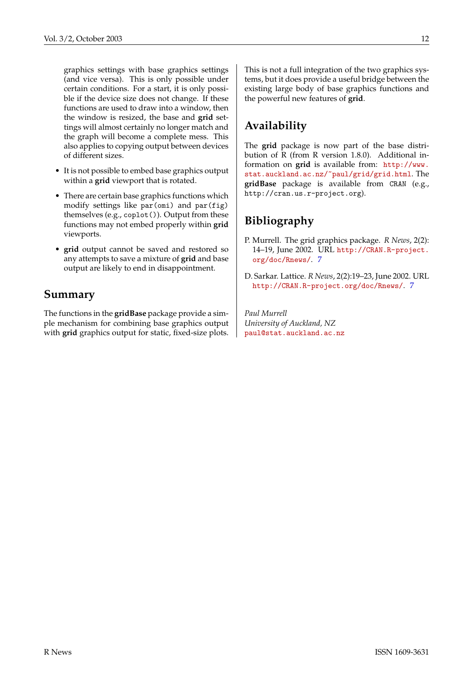graphics settings with base graphics settings (and vice versa). This is only possible under certain conditions. For a start, it is only possible if the device size does not change. If these functions are used to draw into a window, then the window is resized, the base and **grid** settings will almost certainly no longer match and the graph will become a complete mess. This also applies to copying output between devices of different sizes.

- It is not possible to embed base graphics output within a **grid** viewport that is rotated.
- There are certain base graphics functions which modify settings like par(omi) and par(fig) themselves (e.g., coplot()). Output from these functions may not embed properly within **grid** viewports.
- **grid** output cannot be saved and restored so any attempts to save a mixture of **grid** and base output are likely to end in disappointment.

### **Summary**

The functions in the **gridBase** package provide a simple mechanism for combining base graphics output with **grid** graphics output for static, fixed-size plots.

This is not a full integration of the two graphics systems, but it does provide a useful bridge between the existing large body of base graphics functions and the powerful new features of **grid**.

## **Availability**

The **grid** package is now part of the base distribution of R (from R version 1.8.0). Additional information on **grid** is available from: [http://www.](http://www.stat.auckland.ac.nz/~paul/grid/grid.html) [stat.auckland.ac.nz/~paul/grid/grid.html](http://www.stat.auckland.ac.nz/~paul/grid/grid.html). The **gridBase** package is available from CRAN (e.g., http://cran.us.r-project.org).

## **Bibliography**

- <span id="page-11-0"></span>P. Murrell. The grid graphics package. *R News*, 2(2): 14–19, June 2002. URL [http://CRAN.R-project.](http://CRAN.R-project.org/doc/Rnews/) [org/doc/Rnews/](http://CRAN.R-project.org/doc/Rnews/). [7](#page-6-3)
- <span id="page-11-1"></span>D. Sarkar. Lattice. *R News*, 2(2):19–23, June 2002. URL <http://CRAN.R-project.org/doc/Rnews/>. [7](#page-6-3)

*Paul Murrell University of Auckland, NZ* [paul@stat.auckland.ac.nz](mailto:paul@stat.auckland.ac.nz)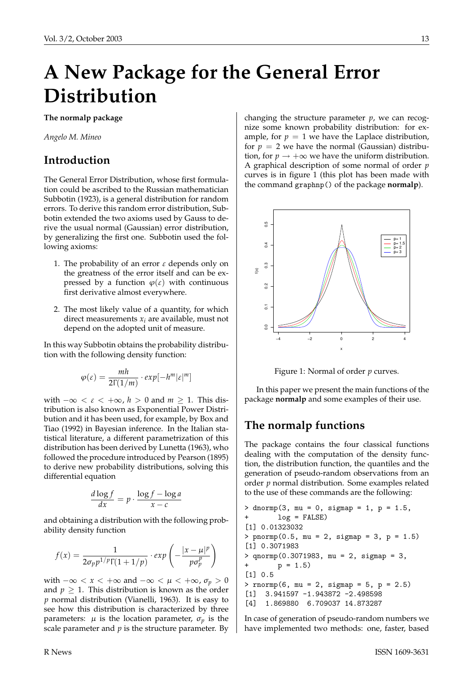## **A New Package for the General Error Distribution**

<span id="page-12-0"></span>**The normalp package**

*Angelo M. Mineo*

#### **Introduction**

The General Error Distribution, whose first formulation could be ascribed to the Russian mathematician Subbotin (1923), is a general distribution for random errors. To derive this random error distribution, Subbotin extended the two axioms used by Gauss to derive the usual normal (Gaussian) error distribution, by generalizing the first one. Subbotin used the following axioms:

- 1. The probability of an error  $\varepsilon$  depends only on the greatness of the error itself and can be expressed by a function  $\varphi(\varepsilon)$  with continuous first derivative almost everywhere.
- 2. The most likely value of a quantity, for which direct measurements  $x_i$  are available, must not depend on the adopted unit of measure.

In this way Subbotin obtains the probability distribution with the following density function:

$$
\varphi(\varepsilon) = \frac{mh}{2\Gamma(1/m)} \cdot exp[-h^m|\varepsilon|^m]
$$

with  $-\infty < \varepsilon < +\infty$ ,  $h > 0$  and  $m \ge 1$ . This distribution is also known as Exponential Power Distribution and it has been used, for example, by Box and Tiao (1992) in Bayesian inference. In the Italian statistical literature, a different parametrization of this distribution has been derived by Lunetta (1963), who followed the procedure introduced by Pearson (1895) to derive new probability distributions, solving this differential equation

$$
\frac{d \log f}{dx} = p \cdot \frac{\log f - \log a}{x - c}
$$

and obtaining a distribution with the following probability density function

$$
f(x) = \frac{1}{2\sigma_p p^{1/p} \Gamma(1 + 1/p)} \cdot exp\left(-\frac{|x - \mu|^p}{p\sigma_p^p}\right)
$$

with  $-\infty < x < +\infty$  and  $-\infty < \mu < +\infty$ ,  $\sigma_p > 0$ and  $p \geq 1$ . This distribution is known as the order *p* normal distribution (Vianelli, 1963). It is easy to see how this distribution is characterized by three parameters:  $\mu$  is the location parameter,  $\sigma_p$  is the scale parameter and  $p$  is the structure parameter. By

changing the structure parameter *p*, we can recognize some known probability distribution: for example, for  $p = 1$  we have the Laplace distribution, for  $p = 2$  we have the normal (Gaussian) distribution, for  $p \rightarrow +\infty$  we have the uniform distribution. A graphical description of some normal of order *p* curves is in figure 1 (this plot has been made with the command graphnp() of the package **normalp**).



Figure 1: Normal of order *p* curves.

In this paper we present the main functions of the package **normalp** and some examples of their use.

## **The normalp functions**

The package contains the four classical functions dealing with the computation of the density function, the distribution function, the quantiles and the generation of pseudo-random observations from an order *p* normal distribution. Some examples related to the use of these commands are the following:

```
> dnormp(3, mu = 0, sigmap = 1, p = 1.5,
       log = FALSE)[1] 0.01323032
> pnormp(0.5, mu = 2, sigmap = 3, p = 1.5)
[1] 0.3071983
> qnormp(0.3071983, mu = 2, sigmap = 3,
        p = 1.5[1] 0.5
> rnormp(6, mu = 2, sigmap = 5, p = 2.5)
[1] 3.941597 -1.943872 -2.498598
[4] 1.869880 6.709037 14.873287
```
In case of generation of pseudo-random numbers we have implemented two methods: one, faster, based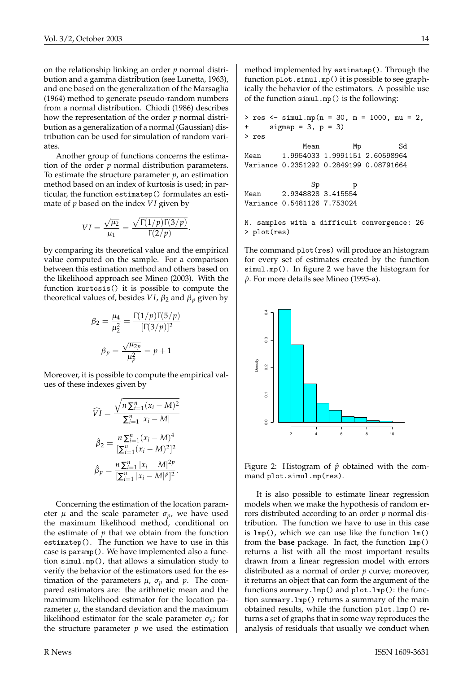on the relationship linking an order *p* normal distribution and a gamma distribution (see Lunetta, 1963), and one based on the generalization of the Marsaglia (1964) method to generate pseudo-random numbers from a normal distribution. Chiodi (1986) describes how the representation of the order *p* normal distribution as a generalization of a normal (Gaussian) distribution can be used for simulation of random variates.

Another group of functions concerns the estimation of the order *p* normal distribution parameters. To estimate the structure parameter *p*, an estimation method based on an index of kurtosis is used; in particular, the function estimatep() formulates an estimate of *p* based on the index *V I* given by

$$
VI = \frac{\sqrt{\mu_2}}{\mu_1} = \frac{\sqrt{\Gamma(1/p)\Gamma(3/p)}}{\Gamma(2/p)}.
$$

by comparing its theoretical value and the empirical value computed on the sample. For a comparison between this estimation method and others based on the likelihood approach see Mineo (2003). With the function kurtosis() it is possible to compute the theoretical values of, besides *VI*,  $\beta_2$  and  $\beta_p$  given by

$$
\beta_2 = \frac{\mu_4}{\mu_2^2} = \frac{\Gamma(1/p)\Gamma(5/p)}{[\Gamma(3/p)]^2}
$$

$$
\beta_p = \frac{\sqrt{\mu_{2p}}}{\mu_p^2} = p + 1
$$

Moreover, it is possible to compute the empirical values of these indexes given by

$$
\widehat{VI} = \frac{\sqrt{n \sum_{i=1}^{n} (x_i - M)^2}}{\sum_{i=1}^{n} |x_i - M|}
$$

$$
\widehat{\beta}_2 = \frac{n \sum_{i=1}^{n} (x_i - M)^4}{[\sum_{i=1}^{n} (x_i - M)^2]^2}
$$

$$
\widehat{\beta}_p = \frac{n \sum_{i=1}^{n} |x_i - M|^2 p}{[\sum_{i=1}^{n} |x_i - M|^p]^2}.
$$

Concerning the estimation of the location parameter  $\mu$  and the scale parameter  $\sigma_p$ , we have used the maximum likelihood method, conditional on the estimate of  $p$  that we obtain from the function estimatep(). The function we have to use in this case is paramp(). We have implemented also a function simul.mp(), that allows a simulation study to verify the behavior of the estimators used for the estimation of the parameters  $\mu$ ,  $\sigma_p$  and  $p$ . The compared estimators are: the arithmetic mean and the maximum likelihood estimator for the location parameter  $\mu$ , the standard deviation and the maximum likelihood estimator for the scale parameter  $\sigma_p$ ; for the structure parameter  $p$  we used the estimation method implemented by estimatep(). Through the function plot.simul.mp() it is possible to see graphically the behavior of the estimators. A possible use of the function simul.mp() is the following:

```
> res <- simul.mp(n = 30, m = 1000, mu = 2,
+ signap = 3, p = 3)> res
            Mean Mp Sd
Mean 1.9954033 1.9991151 2.60598964
Variance 0.2351292 0.2849199 0.08791664
              Sp p
Mean 2.9348828 3.415554
Variance 0.5481126 7.753024
N. samples with a difficult convergence: 26
> plot(res)
```
The command plot(res) will produce an histogram for every set of estimates created by the function simul.mp(). In figure 2 we have the histogram for *p*ˆ. For more details see Mineo (1995-a).



Figure 2: Histogram of  $\hat{p}$  obtained with the command plot.simul.mp(res).

It is also possible to estimate linear regression models when we make the hypothesis of random errors distributed according to an order *p* normal distribution. The function we have to use in this case is  $lmp()$ , which we can use like the function  $lm()$ from the **base** package. In fact, the function lmp() returns a list with all the most important results drawn from a linear regression model with errors distributed as a normal of order *p* curve; moreover, it returns an object that can form the argument of the functions summary.lmp() and plot.lmp(): the function summary.lmp() returns a summary of the main obtained results, while the function plot.lmp() returns a set of graphs that in some way reproduces the analysis of residuals that usually we conduct when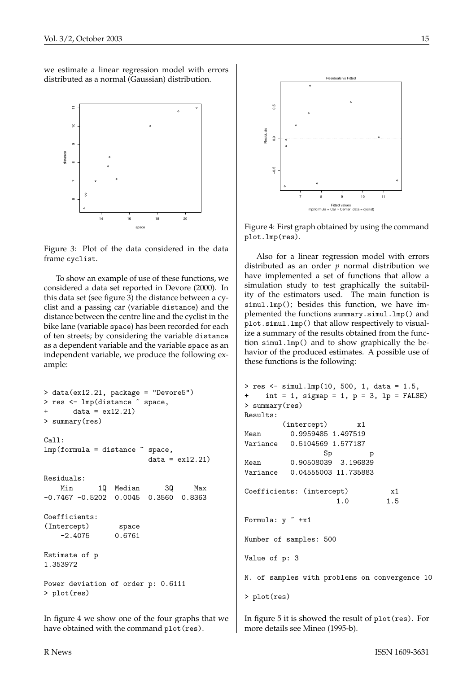we estimate a linear regression model with errors distributed as a normal (Gaussian) distribution.



Figure 3: Plot of the data considered in the data frame cyclist.

To show an example of use of these functions, we considered a data set reported in Devore (2000). In this data set (see figure 3) the distance between a cyclist and a passing car (variable distance) and the distance between the centre line and the cyclist in the bike lane (variable space) has been recorded for each of ten streets; by considering the variable distance as a dependent variable and the variable space as an independent variable, we produce the following example:

```
> data(ex12.21, package = "Devore5")
> res <- lmp(distance ~ space,
       data = ex12.21)> summary(res)
Call:
lmp(formula = distance \text{ }^{\sim} space,data = ex12.21Residuals:
   Min 1Q Median 3Q Max
-0.7467 -0.5202 0.0045 0.3560 0.8363
Coefficients:
(Intercept) space
    -2.4075 0.6761
Estimate of p
1.353972
Power deviation of order p: 0.6111
> plot(res)
```
In figure 4 we show one of the four graphs that we have obtained with the command plot(res).



Figure 4: First graph obtained by using the command plot.lmp(res).

Also for a linear regression model with errors distributed as an order *p* normal distribution we have implemented a set of functions that allow a simulation study to test graphically the suitability of the estimators used. The main function is simul.lmp(); besides this function, we have implemented the functions summary.simul.lmp() and plot.simul.lmp() that allow respectively to visualize a summary of the results obtained from the function simul.lmp() and to show graphically the behavior of the produced estimates. A possible use of these functions is the following:

```
> res <- simul.lmp(10, 500, 1, data = 1.5,
+ int = 1, sigmap = 1, p = 3, lp = FALSE)
> summary(res)
Results:
        (intercept) x1
Mean 0.9959485 1.497519
Variance 0.5104569 1.577187
                 Sp p
Mean 0.90508039 3.196839
Variance 0.04555003 11.735883
Coefficients: (intercept) x1
                    1.0 1.5
Formula: y \sim +x1Number of samples: 500
Value of p: 3
N. of samples with problems on convergence 10
> plot(res)
```
In figure 5 it is showed the result of plot(res). For more details see Mineo (1995-b).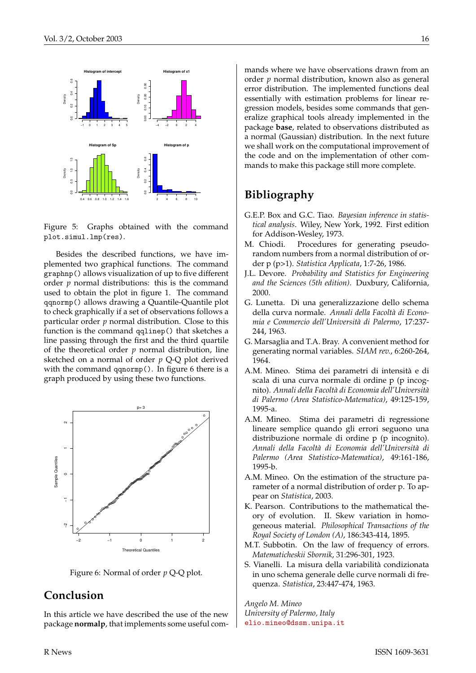

Figure 5: Graphs obtained with the command plot.simul.lmp(res).

Besides the described functions, we have implemented two graphical functions. The command graphnp() allows visualization of up to five different order *p* normal distributions: this is the command used to obtain the plot in figure 1. The command qqnormp() allows drawing a Quantile-Quantile plot to check graphically if a set of observations follows a particular order *p* normal distribution. Close to this function is the command qqlinep() that sketches a line passing through the first and the third quartile of the theoretical order *p* normal distribution, line sketched on a normal of order *p* Q-Q plot derived with the command qqnormp(). In figure 6 there is a graph produced by using these two functions.



Figure 6: Normal of order *p* Q-Q plot.

### **Conclusion**

In this article we have described the use of the new package **normalp**, that implements some useful commands where we have observations drawn from an order *p* normal distribution, known also as general error distribution. The implemented functions deal essentially with estimation problems for linear regression models, besides some commands that generalize graphical tools already implemented in the package **base**, related to observations distributed as a normal (Gaussian) distribution. In the next future we shall work on the computational improvement of the code and on the implementation of other commands to make this package still more complete.

#### **Bibliography**

- G.E.P. Box and G.C. Tiao. *Bayesian inference in statistical analysis*. Wiley, New York, 1992. First edition for Addison-Wesley, 1973.
- M. Chiodi. Procedures for generating pseudorandom numbers from a normal distribution of order p (p>1). *Statistica Applicata*, 1:7-26, 1986.
- J.L. Devore. *Probability and Statistics for Engineering and the Sciences (5th edition)*. Duxbury, California, 2000.
- G. Lunetta. Di una generalizzazione dello schema della curva normale. *Annali della Facoltà di Economia e Commercio dell'Università di Palermo*, 17:237- 244, 1963.
- G. Marsaglia and T.A. Bray. A convenient method for generating normal variables. *SIAM rev.*, 6:260-264, 1964.
- A.M. Mineo. Stima dei parametri di intensità e di scala di una curva normale di ordine p (p incognito). *Annali della Facoltà di Economia dell'Università di Palermo (Area Statistico-Matematica)*, 49:125-159, 1995-a.
- A.M. Mineo. Stima dei parametri di regressione lineare semplice quando gli errori seguono una distribuzione normale di ordine p (p incognito). *Annali della Facoltà di Economia dell'Università di Palermo (Area Statistico-Matematica)*, 49:161-186, 1995-b.
- A.M. Mineo. On the estimation of the structure parameter of a normal distribution of order p. To appear on *Statistica*, 2003.
- K. Pearson. Contributions to the mathematical theory of evolution. II. Skew variation in homogeneous material. *Philosophical Transactions of the Royal Society of London (A)*, 186:343-414, 1895.
- M.T. Subbotin. On the law of frequency of errors. *Matematicheskii Sbornik*, 31:296-301, 1923.
- S. Vianelli. La misura della variabilità condizionata in uno schema generale delle curve normali di frequenza. *Statistica*, 23:447-474, 1963.

*Angelo M. Mineo University of Palermo, Italy* [elio.mineo@dssm.unipa.it](mailto:elio.mineo@dssm.unipa.it)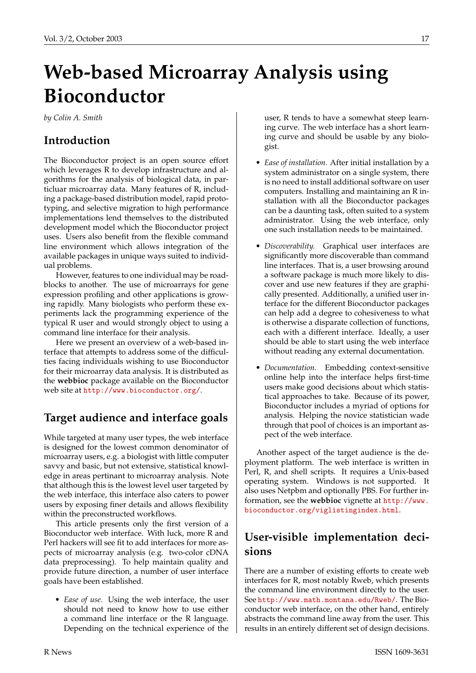# **Web-based Microarray Analysis using Bioconductor**

<span id="page-16-0"></span>*by Colin A. Smith*

## **Introduction**

The Bioconductor project is an open source effort which leverages R to develop infrastructure and algorithms for the analysis of biological data, in particluar microarray data. Many features of R, including a package-based distribution model, rapid prototyping, and selective migration to high performance implementations lend themselves to the distributed development model which the Bioconductor project uses. Users also benefit from the flexible command line environment which allows integration of the available packages in unique ways suited to individual problems.

However, features to one individual may be roadblocks to another. The use of microarrays for gene expression profiling and other applications is growing rapidly. Many biologists who perform these experiments lack the programming experience of the typical R user and would strongly object to using a command line interface for their analysis.

Here we present an overview of a web-based interface that attempts to address some of the difficulties facing individuals wishing to use Bioconductor for their microarray data analysis. It is distributed as the **webbioc** package available on the Bioconductor web site at <http://www.bioconductor.org/>.

## **Target audience and interface goals**

While targeted at many user types, the web interface is designed for the lowest common denominator of microarray users, e.g. a biologist with little computer savvy and basic, but not extensive, statistical knowledge in areas pertinant to microarray analysis. Note that although this is the lowest level user targeted by the web interface, this interface also caters to power users by exposing finer details and allows flexibility within the preconstructed workflows.

This article presents only the first version of a Bioconductor web interface. With luck, more R and Perl hackers will see fit to add interfaces for more aspects of microarray analysis (e.g. two-color cDNA data preprocessing). To help maintain quality and provide future direction, a number of user interface goals have been established.

• *Ease of use.* Using the web interface, the user should not need to know how to use either a command line interface or the R language. Depending on the technical experience of the

user, R tends to have a somewhat steep learning curve. The web interface has a short learning curve and should be usable by any biologist.

- *Ease of installation.* After initial installation by a system administrator on a single system, there is no need to install additional software on user computers. Installing and maintaining an R installation with all the Bioconductor packages can be a daunting task, often suited to a system administrator. Using the web interface, only one such installation needs to be maintained.
- *Discoverability.* Graphical user interfaces are significantly more discoverable than command line interfaces. That is, a user browsing around a software package is much more likely to discover and use new features if they are graphically presented. Additionally, a unified user interface for the different Bioconductor packages can help add a degree to cohesiveness to what is otherwise a disparate collection of functions, each with a different interface. Ideally, a user should be able to start using the web interface without reading any external documentation.
- *Documentation.* Embedding context-sensitive online help into the interface helps first-time users make good decisions about which statistical approaches to take. Because of its power, Bioconductor includes a myriad of options for analysis. Helping the novice statistician wade through that pool of choices is an important aspect of the web interface.

Another aspect of the target audience is the deployment platform. The web interface is written in Perl, R, and shell scripts. It requires a Unix-based operating system. Windows is not supported. It also uses Netpbm and optionally PBS. For further information, see the **webbioc** vignette at [http://www.](http://www.bioconductor.org/viglistingindex.html) [bioconductor.org/viglistingindex.html](http://www.bioconductor.org/viglistingindex.html).

## **User-visible implementation decisions**

There are a number of existing efforts to create web interfaces for R, most notably Rweb, which presents the command line environment directly to the user. See <http://www.math.montana.edu/Rweb/>. The Bioconductor web interface, on the other hand, entirely abstracts the command line away from the user. This results in an entirely different set of design decisions.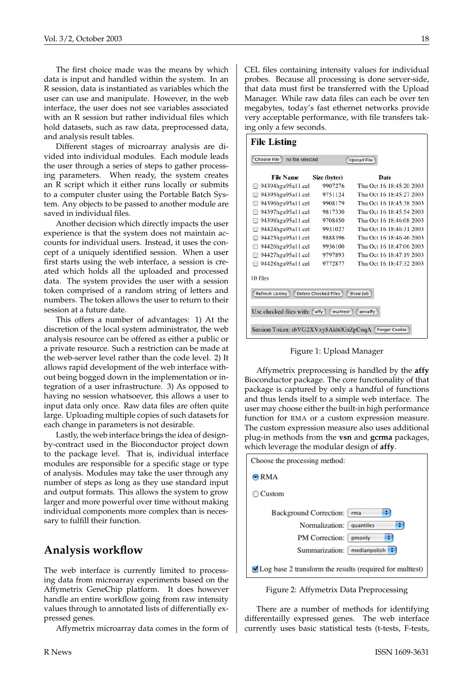The first choice made was the means by which data is input and handled within the system. In an R session, data is instantiated as variables which the user can use and manipulate. However, in the web interface, the user does not see variables associated with an R session but rather individual files which hold datasets, such as raw data, preprocessed data, and analysis result tables.

Different stages of microarray analysis are divided into individual modules. Each module leads the user through a series of steps to gather processing parameters. When ready, the system creates an R script which it either runs locally or submits to a computer cluster using the Portable Batch System. Any objects to be passed to another module are saved in individual files.

Another decision which directly impacts the user experience is that the system does not maintain accounts for individual users. Instead, it uses the concept of a uniquely identified session. When a user first starts using the web interface, a session is created which holds all the uploaded and processed data. The system provides the user with a session token comprised of a random string of letters and numbers. The token allows the user to return to their session at a future date.

This offers a number of advantages: 1) At the discretion of the local system administrator, the web analysis resource can be offered as either a public or a private resource. Such a restriction can be made at the web-server level rather than the code level. 2) It allows rapid development of the web interface without being bogged down in the implementation or integration of a user infrastructure. 3) As opposed to having no session whatsoever, this allows a user to input data only once. Raw data files are often quite large. Uploading multiple copies of such datasets for each change in parameters is not desirable.

Lastly, the web interface brings the idea of designby-contract used in the Bioconductor project down to the package level. That is, individual interface modules are responsible for a specific stage or type of analysis. Modules may take the user through any number of steps as long as they use standard input and output formats. This allows the system to grow larger and more powerful over time without making individual components more complex than is necessary to fulfill their function.

#### **Analysis workflow**

The web interface is currently limited to processing data from microarray experiments based on the Affymetrix GeneChip platform. It does however handle an entire workflow going from raw intensity values through to annotated lists of differentially expressed genes.

Affymetrix microarray data comes in the form of

CEL files containing intensity values for individual probes. Because all processing is done server-side, that data must first be transferred with the Upload Manager. While raw data files can each be over ten megabytes, today's fast ethernet networks provide very acceptable performance, with file transfers taking only a few seconds.

| <b>File Listing</b>                                           |              |                          |  |  |  |  |  |
|---------------------------------------------------------------|--------------|--------------------------|--|--|--|--|--|
| Choose File<br>no file selected<br><b>Upload File</b>         |              |                          |  |  |  |  |  |
| <b>File Name</b>                                              | Size (bytes) | Date                     |  |  |  |  |  |
| 94394hgu95a11.cel                                             | 9907276      | Thu Oct 16 18:45:20 2003 |  |  |  |  |  |
| 94395hgu95a11.cel                                             | 9751124      | Thu Oct 16 18:45:27 2003 |  |  |  |  |  |
| 94396hgu95a11.cel                                             | 9908179      | Thu Oct 16 18:45:38 2003 |  |  |  |  |  |
| 94397hgu95a11.cel<br>-                                        | 9817330      | Thu Oct 16 18:45:54 2003 |  |  |  |  |  |
| 94398hgu95a11.cel<br>e                                        | 9708450      | Thu Oct 16 18:46:08 2003 |  |  |  |  |  |
| 94424hgu95a11.cel                                             | 9931027      | Thu Oct 16 18:46:31 2003 |  |  |  |  |  |
| 94425hgu95a11.cel                                             | 9888396      | Thu Oct 16 18:46:46 2003 |  |  |  |  |  |
| 94426hgu95a11.cel                                             | 9936100      | Thu Oct 16 18:47:06 2003 |  |  |  |  |  |
| 94427hgu95a11.cel                                             | 9797893      | Thu Oct 16 18:47:19 2003 |  |  |  |  |  |
| 94428hgu95a11.cel<br>A                                        | 9772877      | Thu Oct 16 18:47:32 2003 |  |  |  |  |  |
| 10 files                                                      |              |                          |  |  |  |  |  |
| Delete Checked Files<br>Show Job<br>Refresh Listing           |              |                          |  |  |  |  |  |
| Use checked files with: (affy)<br>multtest<br>annaffy         |              |                          |  |  |  |  |  |
| Session Token: sbVG2XVxy8Akh0GrZpCoqA<br><b>Forget Cookie</b> |              |                          |  |  |  |  |  |



Affymetrix preprocessing is handled by the **affy** Bioconductor package. The core functionality of that package is captured by only a handful of functions and thus lends itself to a simple web interface. The user may choose either the built-in high performance function for RMA or a custom expression measure. The custom expression measure also uses additional plug-in methods from the **vsn** and **gcrma** packages, which leverage the modular design of **affy**.

| Choose the processing method:                                                  |  |  |  |  |
|--------------------------------------------------------------------------------|--|--|--|--|
| $\odot$ RMA                                                                    |  |  |  |  |
| Custom                                                                         |  |  |  |  |
| Background Correction:<br>rma                                                  |  |  |  |  |
| Normalization: quantiles                                                       |  |  |  |  |
| PM Correction:<br>pmonly                                                       |  |  |  |  |
| Summarization: medianpolish                                                    |  |  |  |  |
| $\blacktriangleright$ Log base 2 transform the results (required for multtest) |  |  |  |  |

Figure 2: Affymetrix Data Preprocessing

There are a number of methods for identifying differentailly expressed genes. The web interface currently uses basic statistical tests (t-tests, F-tests,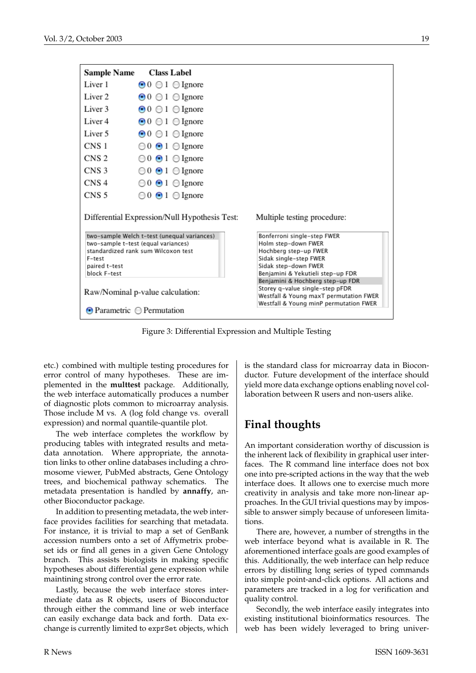| <b>Sample Name</b>                                                           | <b>Class Label</b>                                                                                                        |                                                                                                                                                                    |  |  |  |  |
|------------------------------------------------------------------------------|---------------------------------------------------------------------------------------------------------------------------|--------------------------------------------------------------------------------------------------------------------------------------------------------------------|--|--|--|--|
| Liver 1                                                                      | $\odot$ 0 0 1 $\odot$ Ignore                                                                                              |                                                                                                                                                                    |  |  |  |  |
| Liver <sub>2</sub>                                                           | $\odot 0$ $\odot 1$ $\odot$ Ignore                                                                                        |                                                                                                                                                                    |  |  |  |  |
| Liver 3                                                                      | $\odot 0$ $\odot 1$ $\odot$ Ignore                                                                                        |                                                                                                                                                                    |  |  |  |  |
| Liver <sub>4</sub>                                                           | $\odot 0$ $\odot 1$ $\odot$ Ignore                                                                                        |                                                                                                                                                                    |  |  |  |  |
| Liver 5                                                                      | $\odot 0$ $\odot 1$ $\odot$ Ignore                                                                                        |                                                                                                                                                                    |  |  |  |  |
| CNS <sub>1</sub>                                                             | $\bigcirc$ 0 $\bigcirc$ 1 $\bigcirc$ Ignore                                                                               |                                                                                                                                                                    |  |  |  |  |
| CNS <sub>2</sub>                                                             | $\bigcirc$ 0 $\bigcirc$ 1 $\bigcirc$ Ignore                                                                               |                                                                                                                                                                    |  |  |  |  |
| CNS <sub>3</sub>                                                             | $\bigcirc$ 0 $\bigcirc$ 1 $\bigcirc$ Ignore                                                                               |                                                                                                                                                                    |  |  |  |  |
| CNS <sub>4</sub>                                                             | $\bigcirc$ 0 $\bigcirc$ 1 $\bigcirc$ Ignore                                                                               |                                                                                                                                                                    |  |  |  |  |
| CNS <sub>5</sub>                                                             | $\odot$ 0 $\odot$ 1 $\odot$ Ignore                                                                                        |                                                                                                                                                                    |  |  |  |  |
| Differential Expression/Null Hypothesis Test:<br>Multiple testing procedure: |                                                                                                                           |                                                                                                                                                                    |  |  |  |  |
| F-test<br>paired t-test<br>block F-test                                      | two-sample Welch t-test (unequal variances)<br>two-sample t-test (equal variances)<br>standardized rank sum Wilcoxon test | Bonferroni single-step FWER<br>Holm step-down FWER<br>Hochberg step-up FWER<br>Sidak single-step FWER<br>Sidak step-down FWER<br>Benjamini & Yekutieli step-up FDR |  |  |  |  |
|                                                                              | Raw/Nominal p-value calculation:<br>$\odot$ Parametric $\odot$ Permutation                                                | Benjamini & Hochberg step-up FDR<br>Storey q-value single-step pFDR<br>Westfall & Young maxT permutation FWER<br>Westfall & Young minP permutation FWER            |  |  |  |  |

Figure 3: Differential Expression and Multiple Testing

etc.) combined with multiple testing procedures for error control of many hypotheses. These are implemented in the **multtest** package. Additionally, the web interface automatically produces a number of diagnostic plots common to microarray analysis. Those include M vs. A (log fold change vs. overall expression) and normal quantile-quantile plot.

The web interface completes the workflow by producing tables with integrated results and metadata annotation. Where appropriate, the annotation links to other online databases including a chromosome viewer, PubMed abstracts, Gene Ontology trees, and biochemical pathway schematics. The metadata presentation is handled by **annaffy**, another Bioconductor package.

In addition to presenting metadata, the web interface provides facilities for searching that metadata. For instance, it is trivial to map a set of GenBank accession numbers onto a set of Affymetrix probeset ids or find all genes in a given Gene Ontology branch. This assists biologists in making specific hypotheses about differential gene expression while maintining strong control over the error rate.

Lastly, because the web interface stores intermediate data as R objects, users of Bioconductor through either the command line or web interface can easily exchange data back and forth. Data exchange is currently limited to exprSet objects, which is the standard class for microarray data in Bioconductor. Future development of the interface should yield more data exchange options enabling novel collaboration between R users and non-users alike.

### **Final thoughts**

An important consideration worthy of discussion is the inherent lack of flexibility in graphical user interfaces. The R command line interface does not box one into pre-scripted actions in the way that the web interface does. It allows one to exercise much more creativity in analysis and take more non-linear approaches. In the GUI trivial questions may by impossible to answer simply because of unforeseen limitations.

There are, however, a number of strengths in the web interface beyond what is available in R. The aforementioned interface goals are good examples of this. Additionally, the web interface can help reduce errors by distilling long series of typed commands into simple point-and-click options. All actions and parameters are tracked in a log for verification and quality control.

Secondly, the web interface easily integrates into existing institutional bioinformatics resources. The web has been widely leveraged to bring univer-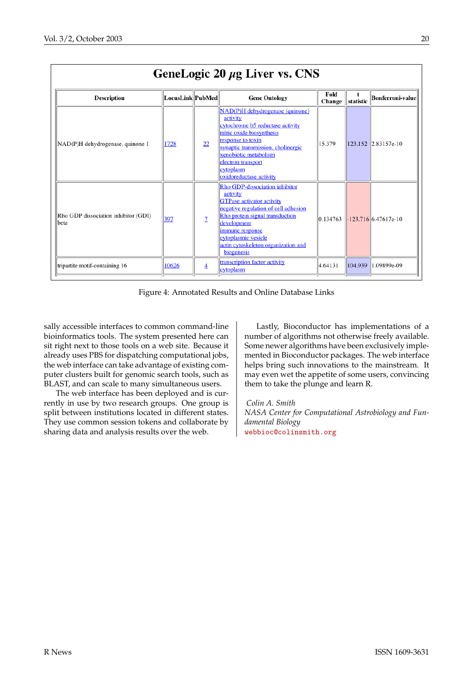| GeneLogic 20 $\mu$ g Liver vs. CNS                  |                  |                |                                                                                                                                                                                                                                                                         |                |           |                         |  |
|-----------------------------------------------------|------------------|----------------|-------------------------------------------------------------------------------------------------------------------------------------------------------------------------------------------------------------------------------------------------------------------------|----------------|-----------|-------------------------|--|
| <b>Description</b>                                  | LocusLink PubMed |                | <b>Gene Ontology</b>                                                                                                                                                                                                                                                    | Fold<br>Change | statistic | <b>Bonferroni-value</b> |  |
| NAD(P)H dehydrogenase, quinone 1                    | 1728             | 22             | NAD(P)H dehydrogenase (quinone)<br>activity<br>cytochrome b5 reductase activity<br>nitric oxide biosynthesis<br>response to toxin<br>synaptic transmission, cholinergic<br>xenobiotic metabolism<br>electron transport<br>cytoplasm<br>oxidoreductase activity          | 15.379         |           | 123.152 2.83157e-10     |  |
| Rho GDP dissociation inhibitor (GDI)<br><b>beta</b> | 397              | $\overline{1}$ | Rho GDP-dissociation inhibitor<br>activity<br><b>GTPase activator activity</b><br>negative regulation of cell adhesion<br>Rho protein signal transduction<br>development<br>immune response<br>cytoplasmic vesicle<br>actin cytoskeleton organization and<br>biogenesis | 0.134763       |           | $-123.716$ 6.47617e-10  |  |
| tripartite motif-containing 16                      | 10626            | $\overline{4}$ | transcription factor activity<br>cytoplasm                                                                                                                                                                                                                              | 4.64131        | 104.939   | 1.09899e-09             |  |

Figure 4: Annotated Results and Online Database Links

sally accessible interfaces to common command-line bioinformatics tools. The system presented here can sit right next to those tools on a web site. Because it already uses PBS for dispatching computational jobs, the web interface can take advantage of existing computer clusters built for genomic search tools, such as BLAST, and can scale to many simultaneous users.

The web interface has been deployed and is currently in use by two research groups. One group is split between institutions located in different states. They use common session tokens and collaborate by sharing data and analysis results over the web.

Lastly, Bioconductor has implementations of a number of algorithms not otherwise freely available. Some newer algorithms have been exclusively implemented in Bioconductor packages. The web interface helps bring such innovations to the mainstream. It may even wet the appetite of some users, convincing them to take the plunge and learn R.

*Colin A. Smith NASA Center for Computational Astrobiology and Fundamental Biology* [webbioc@colinsmith.org](mailto:webbioc@colinsmith.org)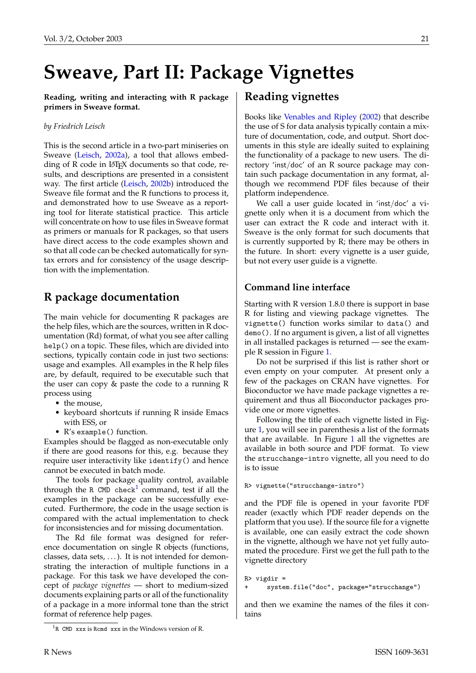# <span id="page-20-2"></span>**Sweave, Part II: Package Vignettes**

<span id="page-20-0"></span>**Reading, writing and interacting with R package primers in Sweave format.**

#### *by Friedrich Leisch*

This is the second article in a two-part miniseries on Sweave [\(Leisch,](#page-23-0) [2002a\)](#page-23-0), a tool that allows embedding of R code in LAT<sub>E</sub>X documents so that code, results, and descriptions are presented in a consistent way. The first article [\(Leisch,](#page-23-1) [2002b\)](#page-23-1) introduced the Sweave file format and the R functions to process it, and demonstrated how to use Sweave as a reporting tool for literate statistical practice. This article will concentrate on how to use files in Sweave format as primers or manuals for R packages, so that users have direct access to the code examples shown and so that all code can be checked automatically for syntax errors and for consistency of the usage description with the implementation.

## **R package documentation**

The main vehicle for documenting R packages are the help files, which are the sources, written in R documentation (Rd) format, of what you see after calling help() on a topic. These files, which are divided into sections, typically contain code in just two sections: usage and examples. All examples in the R help files are, by default, required to be executable such that the user can copy & paste the code to a running R process using

- the mouse,
- keyboard shortcuts if running R inside Emacs with ESS, or
- R's example() function.

Examples should be flagged as non-executable only if there are good reasons for this, e.g. because they require user interactivity like identify() and hence cannot be executed in batch mode.

The tools for package quality control, available through the R CMD check<sup>[1](#page-20-1)</sup> command, test if all the examples in the package can be successfully executed. Furthermore, the code in the usage section is compared with the actual implementation to check for inconsistencies and for missing documentation.

The Rd file format was designed for reference documentation on single R objects (functions, classes, data sets, ...). It is not intended for demonstrating the interaction of multiple functions in a package. For this task we have developed the concept of *package vignettes* — short to medium-sized documents explaining parts or all of the functionality of a package in a more informal tone than the strict format of reference help pages.

#### **Reading vignettes**

Books like [Venables and Ripley](#page-23-2) [\(2002\)](#page-23-2) that describe the use of S for data analysis typically contain a mixture of documentation, code, and output. Short documents in this style are ideally suited to explaining the functionality of a package to new users. The directory 'inst/doc' of an R source package may contain such package documentation in any format, although we recommend PDF files because of their platform independence.

We call a user guide located in 'inst/doc' a vignette only when it is a document from which the user can extract the R code and interact with it. Sweave is the only format for such documents that is currently supported by R; there may be others in the future. In short: every vignette is a user guide, but not every user guide is a vignette.

#### **Command line interface**

Starting with R version 1.8.0 there is support in base R for listing and viewing package vignettes. The vignette() function works similar to data() and demo(). If no argument is given, a list of all vignettes in all installed packages is returned — see the example R session in Figure [1.](#page-21-0)

Do not be surprised if this list is rather short or even empty on your computer. At present only a few of the packages on CRAN have vignettes. For Bioconductor we have made package vignettes a requirement and thus all Bioconductor packages provide one or more vignettes.

Following the title of each vignette listed in Figure [1,](#page-21-0) you will see in parenthesis a list of the formats that are available. In Figure [1](#page-21-0) all the vignettes are available in both source and PDF format. To view the strucchange-intro vignette, all you need to do is to issue

```
R> vignette("strucchange-intro")
```
and the PDF file is opened in your favorite PDF reader (exactly which PDF reader depends on the platform that you use). If the source file for a vignette is available, one can easily extract the code shown in the vignette, although we have not yet fully automated the procedure. First we get the full path to the vignette directory

```
R> vigdir =
      system.file("doc", package="strucchange")
```
and then we examine the names of the files it contains

<span id="page-20-1"></span><sup>&</sup>lt;sup>1</sup>R CMD xxx is Rcmd xxx in the Windows version of R.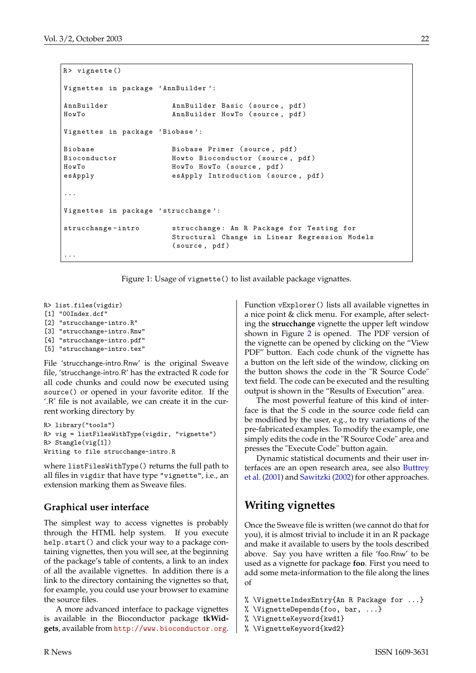```
R> vignette()
Vignettes in package ' AnnBuilder ':
AnnBuilder AnnBuilder Basic (source, pdf)
HowTo AnnBuilder HowTo (source, pdf)
Vignettes in package 'Biobase':
Biobase Biobase Primer (source, pdf)
Bioconductor Howto Bioconductor (source, pdf)
HowTo HowTo HowTo ( source , pdf )
esApply esApply Introduction (source, pdf)
...
Vignettes in package 'strucchange':
strucchange - intro strucchange : An R Package for Testing for
                     Structural Change in Linear Regression Models
                     ( source , pdf )
...
```
<span id="page-21-0"></span>Figure 1: Usage of vignette() to list available package vignattes.

```
R> list.files(vigdir)
[1] "00Index.dcf"
[2] "strucchange-intro.R"
[3] "strucchange-intro.Rnw"
[4] "strucchange-intro.pdf"
```
[5] "strucchange-intro.tex"

File 'strucchange-intro.Rnw' is the original Sweave file, 'strucchange-intro.R' has the extracted R code for all code chunks and could now be executed using source() or opened in your favorite editor. If the '.R' file is not available, we can create it in the current working directory by

```
R> library("tools")
R> vig = listFilesWithType(vigdir, "vignette")
R> Stangle(vig[1])
Writing to file strucchange-intro.R
```
where listFilesWithType() returns the full path to all files in vigdir that have type "vignette", i.e., an extension marking them as Sweave files.

#### **Graphical user interface**

The simplest way to access vignettes is probably through the HTML help system. If you execute help.start() and click your way to a package containing vignettes, then you will see, at the beginning of the package's table of contents, a link to an index of all the available vignettes. In addition there is a link to the directory containing the vignettes so that, for example, you could use your browser to examine the source files.

A more advanced interface to package vignettes is available in the Bioconductor package **tkWidgets**, available from <http://www.bioconductor.org>.

Function vExplorer() lists all available vignettes in a nice point & click menu. For example, after selecting the **strucchange** vignette the upper left window shown in Figure [2](#page-22-0) is opened. The PDF version of the vignette can be opened by clicking on the "View PDF" button. Each code chunk of the vignette has a button on the left side of the window, clicking on the button shows the code in the "R Source Code" text field. The code can be executed and the resulting output is shown in the "Results of Execution" area.

The most powerful feature of this kind of interface is that the S code in the source code field can be modified by the user, e.g., to try variations of the pre-fabricated examples. To modify the example, one simply edits the code in the "R Source Code" area and presses the "Execute Code" button again.

Dynamic statistical documents and their user interfaces are an open research area, see also [Buttrey](#page-23-3) [et al.](#page-23-3) [\(2001\)](#page-23-3) and [Sawitzki](#page-23-4) [\(2002\)](#page-23-4) for other approaches.

## **Writing vignettes**

Once the Sweave file is written (we cannot do that for you), it is almost trivial to include it in an R package and make it available to users by the tools described above. Say you have written a file 'foo.Rnw' to be used as a vignette for package **foo**. First you need to add some meta-information to the file along the lines of

```
% \VignetteIndexEntry{An R Package for ...}
```

```
% \VignetteDepends{foo, bar, ...}
```

```
% \VignetteKeyword{kwd1}
```

```
% \VignetteKeyword{kwd2}
```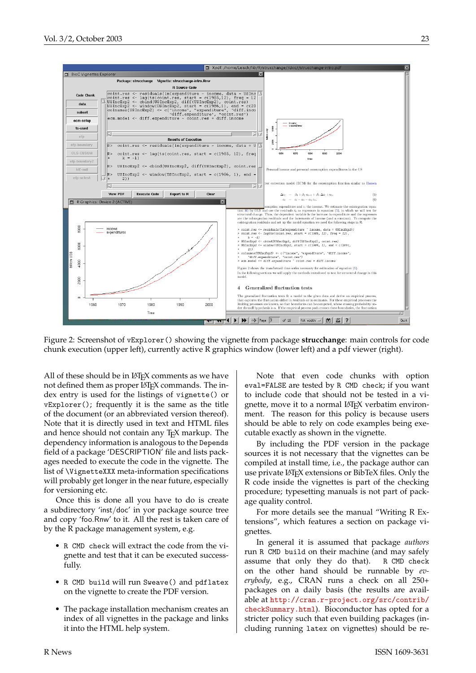

<span id="page-22-0"></span>Figure 2: Screenshot of vExplorer() showing the vignette from package **strucchange**: main controls for code chunk execution (upper left), currently active R graphics window (lower left) and a pdf viewer (right).

All of these should be in  $\mathbb{A}E\to\mathbb{A}$  comments as we have not defined them as proper LAT<sub>E</sub>X commands. The index entry is used for the listings of vignette() or vExplorer(); frequently it is the same as the title of the document (or an abbreviated version thereof). Note that it is directly used in text and HTML files and hence should not contain any TEX markup. The dependency information is analogous to the Depends field of a package 'DESCRIPTION' file and lists packages needed to execute the code in the vignette. The list of \VignetteXXX meta-information specifications will probably get longer in the near future, especially for versioning etc.

Once this is done all you have to do is create a subdirectory 'inst/doc' in yor package source tree and copy 'foo.Rnw' to it. All the rest is taken care of by the R package management system, e.g.

- R CMD check will extract the code from the vignette and test that it can be executed successfully.
- R CMD build will run Sweave() and pdflatex on the vignette to create the PDF version.
- The package installation mechanism creates an index of all vignettes in the package and links it into the HTML help system.

Note that even code chunks with option eval=FALSE are tested by R CMD check; if you want to include code that should not be tested in a vignette, move it to a normal LAT<sub>E</sub>X verbatim environment. The reason for this policy is because users should be able to rely on code examples being executable exactly as shown in the vignette.

By including the PDF version in the package sources it is not necessary that the vignettes can be compiled at install time, i.e., the package author can use private LATEX extensions or BibTeX files. Only the R code inside the vignettes is part of the checking procedure; typesetting manuals is not part of package quality control.

For more details see the manual "Writing R Extensions", which features a section on package vignettes.

In general it is assumed that package *authors* run R CMD build on their machine (and may safely assume that only they do that). R CMD check on the other hand should be runnable by *everybody*, e.g., CRAN runs a check on all 250+ packages on a daily basis (the results are available at [http://cran.r-project.org/src/contrib/](http://cran.r-project.org/src/contrib/checkSummary.html) [checkSummary.html](http://cran.r-project.org/src/contrib/checkSummary.html)). Bioconductor has opted for a stricter policy such that even building packages (including running latex on vignettes) should be re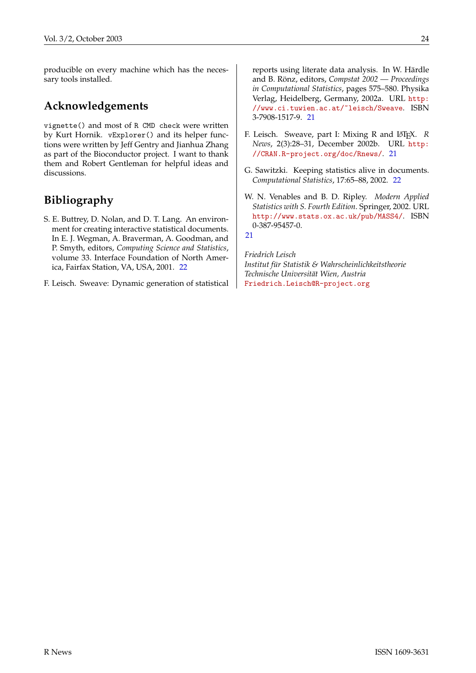producible on every machine which has the necessary tools installed.

### **Acknowledgements**

vignette() and most of R CMD check were written by Kurt Hornik. vExplorer() and its helper functions were written by Jeff Gentry and Jianhua Zhang as part of the Bioconductor project. I want to thank them and Robert Gentleman for helpful ideas and discussions.

## **Bibliography**

- <span id="page-23-3"></span>S. E. Buttrey, D. Nolan, and D. T. Lang. An environment for creating interactive statistical documents. In E. J. Wegman, A. Braverman, A. Goodman, and P. Smyth, editors, *Computing Science and Statistics*, volume 33. Interface Foundation of North America, Fairfax Station, VA, USA, 2001. [22](#page-21-1)
- <span id="page-23-0"></span>F. Leisch. Sweave: Dynamic generation of statistical

reports using literate data analysis. In W. Härdle and B. Rönz, editors, *Compstat 2002 — Proceedings in Computational Statistics*, pages 575–580. Physika Verlag, Heidelberg, Germany, 2002a. URL [http:](http://www.ci.tuwien.ac.at/~leisch/Sweave) [//www.ci.tuwien.ac.at/~leisch/Sweave](http://www.ci.tuwien.ac.at/~leisch/Sweave). ISBN 3-7908-1517-9. [21](#page-20-2)

- <span id="page-23-1"></span>F. Leisch. Sweave, part I: Mixing R and L<sup>AT</sup>E<sup>X</sup>. R *News*, 2(3):28–31, December 2002b. URL [http:](http://CRAN.R-project.org/doc/Rnews/) [//CRAN.R-project.org/doc/Rnews/](http://CRAN.R-project.org/doc/Rnews/). [21](#page-20-2)
- <span id="page-23-4"></span>G. Sawitzki. Keeping statistics alive in documents. *Computational Statistics*, 17:65–88, 2002. [22](#page-21-1)
- <span id="page-23-2"></span>W. N. Venables and B. D. Ripley. *Modern Applied Statistics with S. Fourth Edition*. Springer, 2002. URL <http://www.stats.ox.ac.uk/pub/MASS4/>. ISBN 0-387-95457-0.

[21](#page-20-2)

*Friedrich Leisch Institut für Statistik & Wahrscheinlichkeitstheorie Technische Universität Wien, Austria* [Friedrich.Leisch@R-project.org](mailto:Friedrich.Leisch@R-project.org)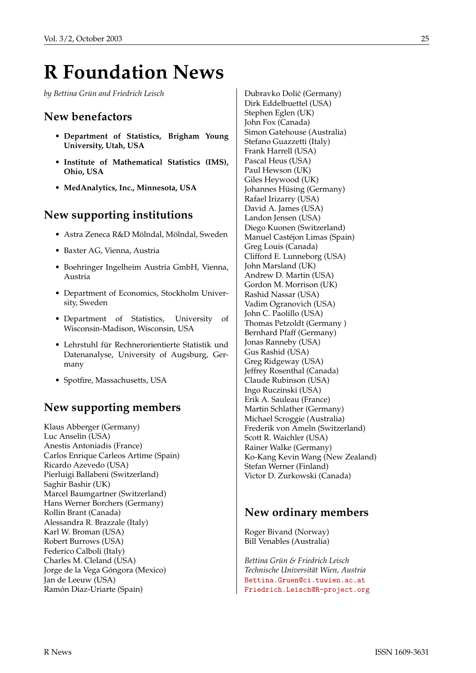## **R Foundation News**

<span id="page-24-0"></span>*by Bettina Grün and Friedrich Leisch*

#### **New benefactors**

- **• Department of Statistics, Brigham Young University, Utah, USA**
- **• Institute of Mathematical Statistics (IMS), Ohio, USA**
- **• MedAnalytics, Inc., Minnesota, USA**

#### **New supporting institutions**

- Astra Zeneca R&D Mölndal, Mölndal, Sweden
- Baxter AG, Vienna, Austria
- Boehringer Ingelheim Austria GmbH, Vienna, Austria
- Department of Economics, Stockholm University, Sweden
- Department of Statistics, University of Wisconsin-Madison, Wisconsin, USA
- Lehrstuhl für Rechnerorientierte Statistik und Datenanalyse, University of Augsburg, Germany
- Spotfire, Massachusetts, USA

### **New supporting members**

Klaus Abberger (Germany) Luc Anselin (USA) Anestis Antoniadis (France) Carlos Enrique Carleos Artime (Spain) Ricardo Azevedo (USA) Pierluigi Ballabeni (Switzerland) Saghir Bashir (UK) Marcel Baumgartner (Switzerland) Hans Werner Borchers (Germany) Rollin Brant (Canada) Alessandra R. Brazzale (Italy) Karl W. Broman (USA) Robert Burrows (USA) Federico Calboli (Italy) Charles M. Cleland (USA) Jorge de la Vega Góngora (Mexico) Jan de Leeuw (USA) Ramón Diaz-Uriarte (Spain)

Dubravko Dolić (Germany) Dirk Eddelbuettel (USA) Stephen Eglen (UK) John Fox (Canada) Simon Gatehouse (Australia) Stefano Guazzetti (Italy) Frank Harrell (USA) Pascal Heus (USA) Paul Hewson (UK) Giles Heywood (UK) Johannes Hüsing (Germany) Rafael Irizarry (USA) David A. James (USA) Landon Jensen (USA) Diego Kuonen (Switzerland) Manuel Castéjon Limas (Spain) Greg Louis (Canada) Clifford E. Lunneborg (USA) John Marsland (UK) Andrew D. Martin (USA) Gordon M. Morrison (UK) Rashid Nassar (USA) Vadim Ogranovich (USA) John C. Paolillo (USA) Thomas Petzoldt (Germany ) Bernhard Pfaff (Germany) Jonas Ranneby (USA) Gus Rashid (USA) Greg Ridgeway (USA) Jeffrey Rosenthal (Canada) Claude Rubinson (USA) Ingo Ruczinski (USA) Erik A. Sauleau (France) Martin Schlather (Germany) Michael Scroggie (Australia) Frederik von Ameln (Switzerland) Scott R. Waichler (USA) Rainer Walke (Germany) Ko-Kang Kevin Wang (New Zealand) Stefan Werner (Finland) Victor D. Zurkowski (Canada)

#### **New ordinary members**

Roger Bivand (Norway) Bill Venables (Australia)

*Bettina Grün & Friedrich Leisch Technische Universität Wien, Austria* [Bettina.Gruen@ci.tuwien.ac.at](mailto:Bettina.Gruen@ci.tuwien.ac.at) [Friedrich.Leisch@R-project.org](mailto:Friedrich.Leisch@R-project.org)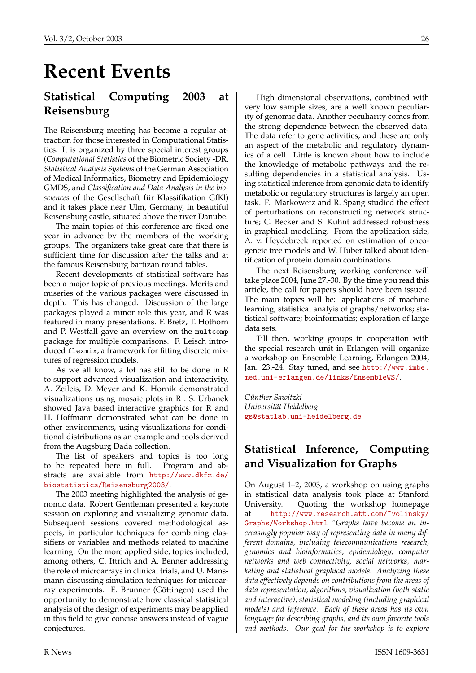## **Recent Events**

## <span id="page-25-0"></span>**Statistical Computing 2003 at Reisensburg**

The Reisensburg meeting has become a regular attraction for those interested in Computational Statistics. It is organized by three special interest groups (*Computational Statistics* of the Biometric Society -DR, *Statistical Analysis Systems* of the German Association of Medical Informatics, Biometry and Epidemiology GMDS, and *Classification and Data Analysis in the biosciences* of the Gesellschaft für Klassifikation GfKl) and it takes place near Ulm, Germany, in beautiful Reisensburg castle, situated above the river Danube.

The main topics of this conference are fixed one year in advance by the members of the working groups. The organizers take great care that there is sufficient time for discussion after the talks and at the famous Reisensburg bartizan round tables.

Recent developments of statistical software has been a major topic of previous meetings. Merits and miseries of the various packages were discussed in depth. This has changed. Discussion of the large packages played a minor role this year, and R was featured in many presentations. F. Bretz, T. Hothorn and P. Westfall gave an overview on the multcomp package for multiple comparisons. F. Leisch introduced flexmix, a framework for fitting discrete mixtures of regression models.

As we all know, a lot has still to be done in R to support advanced visualization and interactivity. A. Zeileis, D. Meyer and K. Hornik demonstrated visualizations using mosaic plots in R . S. Urbanek showed Java based interactive graphics for R and H. Hoffmann demonstrated what can be done in other environments, using visualizations for conditional distributions as an example and tools derived from the Augsburg Dada collection.

The list of speakers and topics is too long to be repeated here in full. Program and abstracts are available from [http://www.dkfz.de/](http://www.dkfz.de/biostatistics/Reisensburg2003/) [biostatistics/Reisensburg2003/](http://www.dkfz.de/biostatistics/Reisensburg2003/).

The 2003 meeting highlighted the analysis of genomic data. Robert Gentleman presented a keynote session on exploring and visualizing genomic data. Subsequent sessions covered methodological aspects, in particular techniques for combining classifiers or variables and methods related to machine learning. On the more applied side, topics included, among others, C. Ittrich and A. Benner addressing the role of microarrays in clinical trials, and U. Mansmann discussing simulation techniques for microarray experiments. E. Brunner (Göttingen) used the opportunity to demonstrate how classical statistical analysis of the design of experiments may be applied in this field to give concise answers instead of vague conjectures.

High dimensional observations, combined with very low sample sizes, are a well known peculiarity of genomic data. Another peculiarity comes from the strong dependence between the observed data. The data refer to gene activities, and these are only an aspect of the metabolic and regulatory dynamics of a cell. Little is known about how to include the knowledge of metabolic pathways and the resulting dependencies in a statistical analysis. Using statistical inference from genomic data to identify metabolic or regulatory structures is largely an open task. F. Markowetz and R. Spang studied the effect of perturbations on reconstructiing network structure; C. Becker and S. Kuhnt addressed robustness in graphical modelling. From the application side, A. v. Heydebreck reported on estimation of oncogeneic tree models and W. Huber talked about identification of protein domain combinations.

The next Reisensburg working conference will take place 2004, June 27.-30. By the time you read this article, the call for papers should have been issued. The main topics will be: applications of machine learning; statistical analyis of graphs/networks; statistical software; bioinformatics; exploration of large data sets.

Till then, working groups in cooperation with the special research unit in Erlangen will organize a workshop on Ensemble Learning, Erlangen 2004, Jan. 23.-24. Stay tuned, and see [http://www.imbe.](http://www.imbe.med.uni-erlangen.de/links/EnsembleWS/) [med.uni-erlangen.de/links/EnsembleWS/](http://www.imbe.med.uni-erlangen.de/links/EnsembleWS/).

*Günther Sawitzki Universität Heidelberg* [gs@statlab.uni-heidelberg.de](mailto:gs@statlab.uni-heidelberg.de)

### **Statistical Inference, Computing and Visualization for Graphs**

On August 1–2, 2003, a workshop on using graphs in statistical data analysis took place at Stanford University. Quoting the workshop homepage [http://www.research.att.com/~volinsky/](http://www.research.att.com/~volinsky/Graphs/Workshop.html) [Graphs/Workshop.html](http://www.research.att.com/~volinsky/Graphs/Workshop.html) *"Graphs have become an increasingly popular way of representing data in many different domains, including telecommunications research, genomics and bioinformatics, epidemiology, computer networks and web connectivity, social networks, marketing and statistical graphical models. Analyzing these data effectively depends on contributions from the areas of data representation, algorithms, visualization (both static and interactive), statistical modeling (including graphical models) and inference. Each of these areas has its own language for describing graphs, and its own favorite tools and methods. Our goal for the workshop is to explore*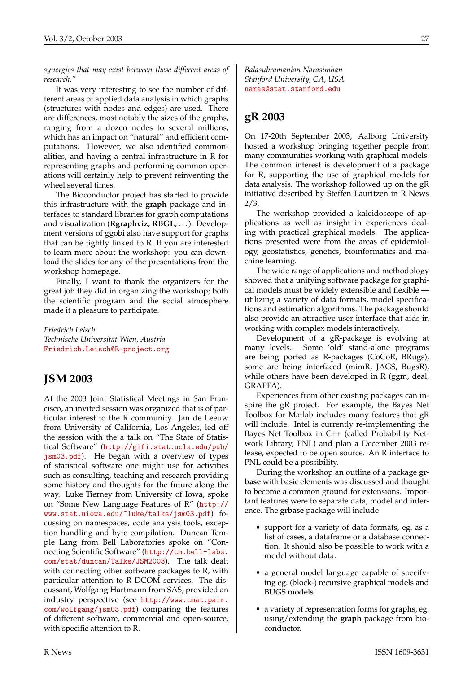*synergies that may exist between these different areas of research."*

It was very interesting to see the number of different areas of applied data analysis in which graphs (structures with nodes and edges) are used. There are differences, most notably the sizes of the graphs, ranging from a dozen nodes to several millions, which has an impact on "natural" and efficient computations. However, we also identified commonalities, and having a central infrastructure in R for representing graphs and performing common operations will certainly help to prevent reinventing the wheel several times.

The Bioconductor project has started to provide this infrastructure with the **graph** package and interfaces to standard libraries for graph computations and visualization (**Rgraphviz**, **RBGL**, . . . ). Development versions of ggobi also have support for graphs that can be tightly linked to R. If you are interested to learn more about the workshop: you can download the slides for any of the presentations from the workshop homepage.

Finally, I want to thank the organizers for the great job they did in organizing the workshop; both the scientific program and the social atmosphere made it a pleasure to participate.

*Friedrich Leisch Technische Universität Wien, Austria* [Friedrich.Leisch@R-project.org](mailto:Friedrich.Leisch@R-project.org)

#### **JSM 2003**

At the 2003 Joint Statistical Meetings in San Francisco, an invited session was organized that is of particular interest to the R community. Jan de Leeuw from University of California, Los Angeles, led off the session with the a talk on "The State of Statistical Software" ([http://gifi.stat.ucla.edu/pub/](http://gifi.stat.ucla.edu/pub/jsm03.pdf) [jsm03.pdf](http://gifi.stat.ucla.edu/pub/jsm03.pdf)). He began with a overview of types of statistical software one might use for activities such as consulting, teaching and research providing some history and thoughts for the future along the way. Luke Tierney from University of Iowa, spoke on "Some New Language Features of R" ([http://](http://www.stat.uiowa.edu/~luke/talks/jsm03.pdf) [www.stat.uiowa.edu/~luke/talks/jsm03.pdf](http://www.stat.uiowa.edu/~luke/talks/jsm03.pdf)) focussing on namespaces, code analysis tools, exception handling and byte compilation. Duncan Temple Lang from Bell Laboratories spoke on "Connecting Scientific Software" ([http://cm.bell-labs.](http://cm.bell-labs.com/stat/duncan/Talks/JSM2003) [com/stat/duncan/Talks/JSM2003](http://cm.bell-labs.com/stat/duncan/Talks/JSM2003)). The talk dealt with connecting other software packages to R, with particular attention to R DCOM services. The discussant, Wolfgang Hartmann from SAS, provided an industry perspective (see [http://www.cmat.pair.](http://www.cmat.pair.com/wolfgang/jsm03.pdf) [com/wolfgang/jsm03.pdf](http://www.cmat.pair.com/wolfgang/jsm03.pdf)) comparing the features of different software, commercial and open-source, with specific attention to R.

*Balasubramanian Narasimhan Stanford University, CA, USA* [naras@stat.stanford.edu](mailto:naras@stat.stanford.edu)

### **gR 2003**

On 17-20th September 2003, Aalborg University hosted a workshop bringing together people from many communities working with graphical models. The common interest is development of a package for R, supporting the use of graphical models for data analysis. The workshop followed up on the gR initiative described by Steffen Lauritzen in R News 2/3.

The workshop provided a kaleidoscope of applications as well as insight in experiences dealing with practical graphical models. The applications presented were from the areas of epidemiology, geostatistics, genetics, bioinformatics and machine learning.

The wide range of applications and methodology showed that a unifying software package for graphical models must be widely extensible and flexible utilizing a variety of data formats, model specifications and estimation algorithms. The package should also provide an attractive user interface that aids in working with complex models interactively.

Development of a gR-package is evolving at many levels. Some 'old' stand-alone programs are being ported as R-packages (CoCoR, BRugs), some are being interfaced (mimR, JAGS, BugsR), while others have been developed in R (ggm, deal, GRAPPA).

Experiences from other existing packages can inspire the gR project. For example, the Bayes Net Toolbox for Matlab includes many features that gR will include. Intel is currently re-implementing the Bayes Net Toolbox in C++ (called Probability Network Library, PNL) and plan a December 2003 release, expected to be open source. An R interface to PNL could be a possibility.

During the workshop an outline of a package **grbase** with basic elements was discussed and thought to become a common ground for extensions. Important features were to separate data, model and inference. The **grbase** package will include

- support for a variety of data formats, eg. as a list of cases, a dataframe or a database connection. It should also be possible to work with a model without data.
- a general model language capable of specifying eg. (block-) recursive graphical models and BUGS models.
- a variety of representation forms for graphs, eg. using/extending the **graph** package from bioconductor.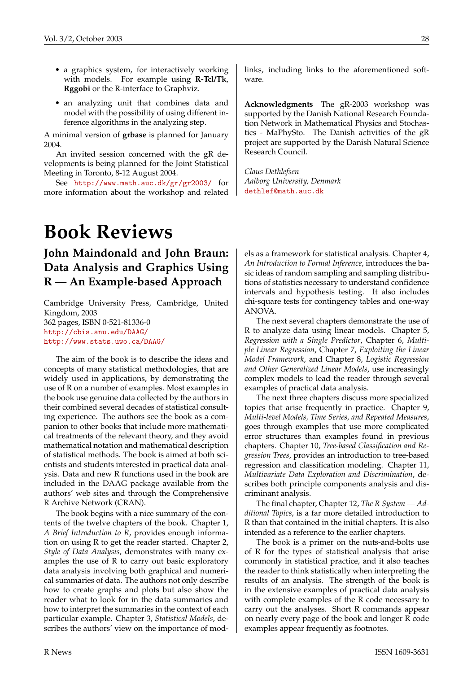- a graphics system, for interactively working with models. For example using **R-Tcl/Tk**, **Rggobi** or the R-interface to Graphviz.
- an analyzing unit that combines data and model with the possibility of using different inference algorithms in the analyzing step.

A minimal version of **grbase** is planned for January 2004.

An invited session concerned with the gR developments is being planned for the Joint Statistical Meeting in Toronto, 8-12 August 2004.

See <http://www.math.auc.dk/gr/gr2003/> for more information about the workshop and related

## **Book Reviews**

## <span id="page-27-0"></span>**John Maindonald and John Braun: Data Analysis and Graphics Using R — An Example-based Approach**

Cambridge University Press, Cambridge, United Kingdom, 2003 362 pages, ISBN 0-521-81336-0 <http://cbis.anu.edu/DAAG/> <http://www.stats.uwo.ca/DAAG/>

The aim of the book is to describe the ideas and concepts of many statistical methodologies, that are widely used in applications, by demonstrating the use of R on a number of examples. Most examples in the book use genuine data collected by the authors in their combined several decades of statistical consulting experience. The authors see the book as a companion to other books that include more mathematical treatments of the relevant theory, and they avoid mathematical notation and mathematical description of statistical methods. The book is aimed at both scientists and students interested in practical data analysis. Data and new R functions used in the book are included in the DAAG package available from the authors' web sites and through the Comprehensive R Archive Network (CRAN).

The book begins with a nice summary of the contents of the twelve chapters of the book. Chapter 1, *A Brief Introduction to R*, provides enough information on using R to get the reader started. Chapter 2, *Style of Data Analysis*, demonstrates with many examples the use of R to carry out basic exploratory data analysis involving both graphical and numerical summaries of data. The authors not only describe how to create graphs and plots but also show the reader what to look for in the data summaries and how to interpret the summaries in the context of each particular example. Chapter 3, *Statistical Models*, describes the authors' view on the importance of modlinks, including links to the aforementioned software.

**Acknowledgments** The gR-2003 workshop was supported by the Danish National Research Foundation Network in Mathematical Physics and Stochastics - MaPhySto. The Danish activities of the gR project are supported by the Danish Natural Science Research Council.

*Claus Dethlefsen Aalborg University, Denmark* [dethlef@math.auc.dk](mailto:dethlef@math.auc.dk)

els as a framework for statistical analysis. Chapter 4, *An Introduction to Formal Inference*, introduces the basic ideas of random sampling and sampling distributions of statistics necessary to understand confidence intervals and hypothesis testing. It also includes chi-square tests for contingency tables and one-way ANOVA.

The next several chapters demonstrate the use of R to analyze data using linear models. Chapter 5, *Regression with a Single Predictor*, Chapter 6, *Multiple Linear Regression*, Chapter 7, *Exploiting the Linear Model Framework*, and Chapter 8, *Logistic Regression and Other Generalized Linear Models*, use increasingly complex models to lead the reader through several examples of practical data analysis.

The next three chapters discuss more specialized topics that arise frequently in practice. Chapter 9, *Multi-level Models, Time Series, and Repeated Measures*, goes through examples that use more complicated error structures than examples found in previous chapters. Chapter 10, *Tree-based Classification and Regression Trees*, provides an introduction to tree-based regression and classification modeling. Chapter 11, *Multivariate Data Exploration and Discrimination*, describes both principle components analysis and discriminant analysis.

The final chapter, Chapter 12, *The R System — Additional Topics*, is a far more detailed introduction to R than that contained in the initial chapters. It is also intended as a reference to the earlier chapters.

The book is a primer on the nuts-and-bolts use of R for the types of statistical analysis that arise commonly in statistical practice, and it also teaches the reader to think statistically when interpreting the results of an analysis. The strength of the book is in the extensive examples of practical data analysis with complete examples of the R code necessary to carry out the analyses. Short R commands appear on nearly every page of the book and longer R code examples appear frequently as footnotes.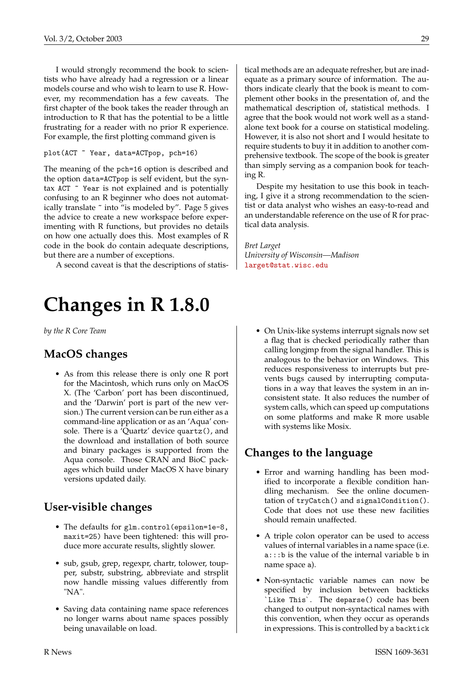I would strongly recommend the book to scientists who have already had a regression or a linear models course and who wish to learn to use R. However, my recommendation has a few caveats. The first chapter of the book takes the reader through an introduction to R that has the potential to be a little frustrating for a reader with no prior R experience. For example, the first plotting command given is

#### plot(ACT ~ Year, data=ACTpop, pch=16)

The meaning of the pch=16 option is described and the option data=ACTpop is self evident, but the syntax ACT ~ Year is not explained and is potentially confusing to an R beginner who does not automatically translate ~ into "is modeled by". Page 5 gives the advice to create a new workspace before experimenting with R functions, but provides no details on how one actually does this. Most examples of R code in the book do contain adequate descriptions, but there are a number of exceptions.

A second caveat is that the descriptions of statis-

## **Changes in R 1.8.0**

<span id="page-28-0"></span>*by the R Core Team*

#### **MacOS changes**

• As from this release there is only one R port for the Macintosh, which runs only on MacOS X. (The 'Carbon' port has been discontinued, and the 'Darwin' port is part of the new version.) The current version can be run either as a command-line application or as an 'Aqua' console. There is a 'Quartz' device quartz(), and the download and installation of both source and binary packages is supported from the Aqua console. Those CRAN and BioC packages which build under MacOS X have binary versions updated daily.

#### **User-visible changes**

- The defaults for glm.control(epsilon=1e-8, maxit=25) have been tightened: this will produce more accurate results, slightly slower.
- sub, gsub, grep, regexpr, chartr, tolower, toupper, substr, substring, abbreviate and strsplit now handle missing values differently from "NA".
- Saving data containing name space references no longer warns about name spaces possibly being unavailable on load.

tical methods are an adequate refresher, but are inadequate as a primary source of information. The authors indicate clearly that the book is meant to complement other books in the presentation of, and the mathematical description of, statistical methods. I agree that the book would not work well as a standalone text book for a course on statistical modeling. However, it is also not short and I would hesitate to require students to buy it in addition to another comprehensive textbook. The scope of the book is greater than simply serving as a companion book for teaching R.

Despite my hesitation to use this book in teaching, I give it a strong recommendation to the scientist or data analyst who wishes an easy-to-read and an understandable reference on the use of R for practical data analysis.

*Bret Larget University of Wisconsin—Madison* [larget@stat.wisc.edu](mailto:larget@stat.wisc.edu)

• On Unix-like systems interrupt signals now set a flag that is checked periodically rather than calling longjmp from the signal handler. This is analogous to the behavior on Windows. This reduces responsiveness to interrupts but prevents bugs caused by interrupting computations in a way that leaves the system in an inconsistent state. It also reduces the number of system calls, which can speed up computations on some platforms and make R more usable with systems like Mosix.

#### **Changes to the language**

- Error and warning handling has been modified to incorporate a flexible condition handling mechanism. See the online documentation of tryCatch() and signalCondition(). Code that does not use these new facilities should remain unaffected.
- A triple colon operator can be used to access values of internal variables in a name space (i.e. a:::b is the value of the internal variable b in name space a).
- Non-syntactic variable names can now be specified by inclusion between backticks `Like This`. The deparse() code has been changed to output non-syntactical names with this convention, when they occur as operands in expressions. This is controlled by a backtick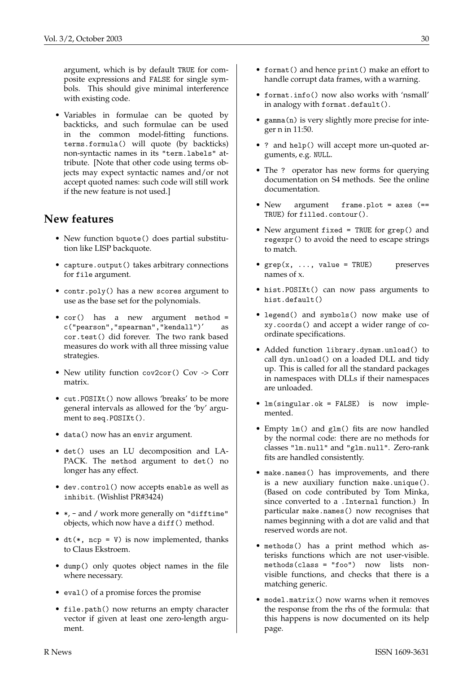argument, which is by default TRUE for composite expressions and FALSE for single symbols. This should give minimal interference with existing code.

• Variables in formulae can be quoted by backticks, and such formulae can be used in the common model-fitting functions. terms.formula() will quote (by backticks) non-syntactic names in its "term.labels" attribute. [Note that other code using terms objects may expect syntactic names and/or not accept quoted names: such code will still work if the new feature is not used.]

#### **New features**

- New function bquote() does partial substitution like LISP backquote.
- capture.output() takes arbitrary connections for file argument.
- contr.poly() has a new scores argument to use as the base set for the polynomials.
- cor() has a new argument method = c("pearson","spearman","kendall")' as cor.test() did forever. The two rank based measures do work with all three missing value strategies.
- New utility function cov2cor() Cov -> Corr matrix.
- cut.POSIXt() now allows 'breaks' to be more general intervals as allowed for the 'by' argument to seq.POSIXt().
- data() now has an envir argument.
- det() uses an LU decomposition and LA-PACK. The method argument to det() no longer has any effect.
- dev.control() now accepts enable as well as inhibit. (Wishlist PR#3424)
- \*, and / work more generally on "difftime" objects, which now have a diff() method.
- $dt(*, ncp = V)$  is now implemented, thanks to Claus Ekstroem.
- dump() only quotes object names in the file where necessary.
- eval() of a promise forces the promise
- file.path() now returns an empty character vector if given at least one zero-length argument.
- format() and hence print() make an effort to handle corrupt data frames, with a warning.
- format.info() now also works with 'nsmall' in analogy with format.default().
- gamma(n) is very slightly more precise for integer n in 11:50.
- ? and help() will accept more un-quoted arguments, e.g. NULL.
- The ? operator has new forms for querying documentation on S4 methods. See the online documentation.
- New argument frame.plot = axes (== TRUE) for filled.contour().
- New argument fixed = TRUE for grep() and regexpr() to avoid the need to escape strings to match.
- $\text{grey}(x, \ldots, \text{value = TRUE})$  preserves names of x.
- hist.POSIXt() can now pass arguments to hist.default()
- legend() and symbols() now make use of xy.coords() and accept a wider range of coordinate specifications.
- Added function library.dynam.unload() to call dyn.unload() on a loaded DLL and tidy up. This is called for all the standard packages in namespaces with DLLs if their namespaces are unloaded.
- lm(singular.ok = FALSE) is now implemented.
- Empty lm() and glm() fits are now handled by the normal code: there are no methods for classes "lm.null" and "glm.null". Zero-rank fits are handled consistently.
- make.names() has improvements, and there is a new auxiliary function make.unique(). (Based on code contributed by Tom Minka, since converted to a .Internal function.) In particular make.names() now recognises that names beginning with a dot are valid and that reserved words are not.
- methods() has a print method which asterisks functions which are not user-visible. methods(class = "foo") now lists nonvisible functions, and checks that there is a matching generic.
- model.matrix() now warns when it removes the response from the rhs of the formula: that this happens is now documented on its help page.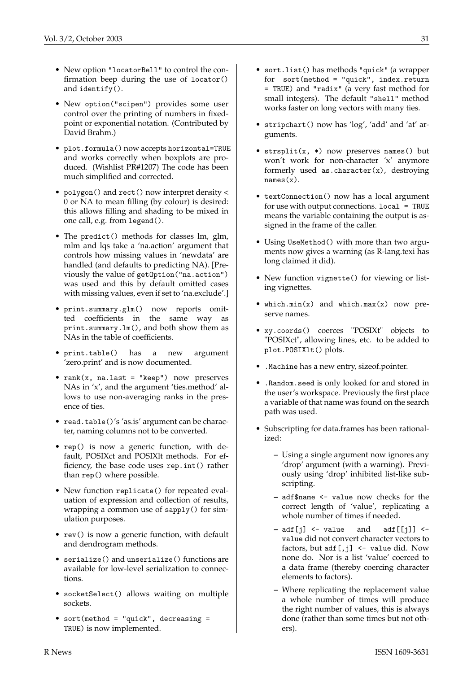and identify().

- New option "locatorBell" to control the confirmation beep during the use of locator()
- New option("scipen") provides some user control over the printing of numbers in fixedpoint or exponential notation. (Contributed by David Brahm.)
- plot.formula() now accepts horizontal=TRUE and works correctly when boxplots are produced. (Wishlist PR#1207) The code has been much simplified and corrected.
- polygon() and rect() now interpret density < 0 or NA to mean filling (by colour) is desired: this allows filling and shading to be mixed in one call, e.g. from legend().
- The predict() methods for classes lm, glm, mlm and lqs take a 'na.action' argument that controls how missing values in 'newdata' are handled (and defaults to predicting NA). [Previously the value of getOption("na.action") was used and this by default omitted cases with missing values, even if set to 'na.exclude'.]
- print.summary.glm() now reports omitted coefficients in the same way as print.summary.lm(), and both show them as NAs in the table of coefficients.
- print.table() has a new argument 'zero.print' and is now documented.
- $rank(x, na-last = "keep") now preserves$ NAs in 'x', and the argument 'ties.method' allows to use non-averaging ranks in the presence of ties.
- read.table()'s 'as.is' argument can be character, naming columns not to be converted.
- rep() is now a generic function, with default, POSIXct and POSIXlt methods. For efficiency, the base code uses rep.int() rather than rep() where possible.
- New function replicate() for repeated evaluation of expression and collection of results, wrapping a common use of sapply() for simulation purposes.
- rev() is now a generic function, with default and dendrogram methods.
- serialize() and unserialize() functions are available for low-level serialization to connections.
- socketSelect() allows waiting on multiple sockets.
- sort(method = "quick", decreasing = TRUE) is now implemented.
- sort.list() has methods "quick" (a wrapper for sort(method = "quick", index.return = TRUE) and "radix" (a very fast method for small integers). The default "shell" method works faster on long vectors with many ties.
- stripchart() now has 'log', 'add' and 'at' arguments.
- strsplit(x, \*) now preserves names() but won't work for non-character 'x' anymore formerly used as.character(x), destroying names(x).
- textConnection() now has a local argument for use with output connections. local = TRUE means the variable containing the output is assigned in the frame of the caller.
- Using UseMethod() with more than two arguments now gives a warning (as R-lang.texi has long claimed it did).
- New function vignette() for viewing or listing vignettes.
- which.min(x) and which.max(x) now preserve names.
- xy.coords() coerces "POSIXt" objects to "POSIXct", allowing lines, etc. to be added to plot.POSIXlt() plots.
- .Machine has a new entry, sizeof.pointer.
- .Random.seed is only looked for and stored in the user's workspace. Previously the first place a variable of that name was found on the search path was used.
- Subscripting for data.frames has been rationalized:
	- **–** Using a single argument now ignores any 'drop' argument (with a warning). Previously using 'drop' inhibited list-like subscripting.
	- **–** adf\$name <- value now checks for the correct length of 'value', replicating a whole number of times if needed.
	- **–** adf[j] <- value and adf[[j]] < value did not convert character vectors to factors, but  $\text{adf}[j]$  <- value did. Now none do. Nor is a list 'value' coerced to a data frame (thereby coercing character elements to factors).
	- **–** Where replicating the replacement value a whole number of times will produce the right number of values, this is always done (rather than some times but not others).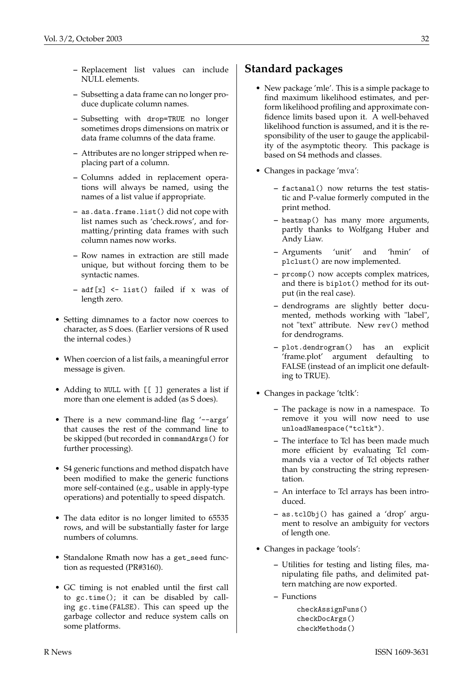- **–** Replacement list values can include NULL elements.
- **–** Subsetting a data frame can no longer produce duplicate column names.
- **–** Subsetting with drop=TRUE no longer sometimes drops dimensions on matrix or data frame columns of the data frame.
- **–** Attributes are no longer stripped when replacing part of a column.
- **–** Columns added in replacement operations will always be named, using the names of a list value if appropriate.
- **–** as.data.frame.list() did not cope with list names such as 'check.rows', and formatting/printing data frames with such column names now works.
- **–** Row names in extraction are still made unique, but without forcing them to be syntactic names.
- **–** adf[x] <- list() failed if x was of length zero.
- Setting dimnames to a factor now coerces to character, as S does. (Earlier versions of R used the internal codes.)
- When coercion of a list fails, a meaningful error message is given.
- Adding to NULL with [[ ]] generates a list if more than one element is added (as S does).
- There is a new command-line flag '--args' that causes the rest of the command line to be skipped (but recorded in commandArgs() for further processing).
- S4 generic functions and method dispatch have been modified to make the generic functions more self-contained (e.g., usable in apply-type operations) and potentially to speed dispatch.
- The data editor is no longer limited to 65535 rows, and will be substantially faster for large numbers of columns.
- Standalone Rmath now has a get\_seed function as requested (PR#3160).
- GC timing is not enabled until the first call to gc.time(); it can be disabled by calling gc.time(FALSE). This can speed up the garbage collector and reduce system calls on some platforms.

## **Standard packages**

- New package 'mle'. This is a simple package to find maximum likelihood estimates, and perform likelihood profiling and approximate confidence limits based upon it. A well-behaved likelihood function is assumed, and it is the responsibility of the user to gauge the applicability of the asymptotic theory. This package is based on S4 methods and classes.
- Changes in package 'mva':
	- **–** factanal() now returns the test statistic and P-value formerly computed in the print method.
	- **–** heatmap() has many more arguments, partly thanks to Wolfgang Huber and Andy Liaw.
	- **–** Arguments 'unit' and 'hmin' of plclust() are now implemented.
	- **–** prcomp() now accepts complex matrices, and there is biplot() method for its output (in the real case).
	- **–** dendrograms are slightly better documented, methods working with "label", not "text" attribute. New rev() method for dendrograms.
	- **–** plot.dendrogram() has an explicit 'frame.plot' argument defaulting to FALSE (instead of an implicit one defaulting to TRUE).
- Changes in package 'tcltk':
	- **–** The package is now in a namespace. To remove it you will now need to use unloadNamespace("tcltk").
	- **–** The interface to Tcl has been made much more efficient by evaluating Tcl commands via a vector of Tcl objects rather than by constructing the string representation.
	- **–** An interface to Tcl arrays has been introduced.
	- **–** as.tclObj() has gained a 'drop' argument to resolve an ambiguity for vectors of length one.
- Changes in package 'tools':
	- **–** Utilities for testing and listing files, manipulating file paths, and delimited pattern matching are now exported.
	- **–** Functions

```
checkAssignFuns()
checkDocArgs()
checkMethods()
```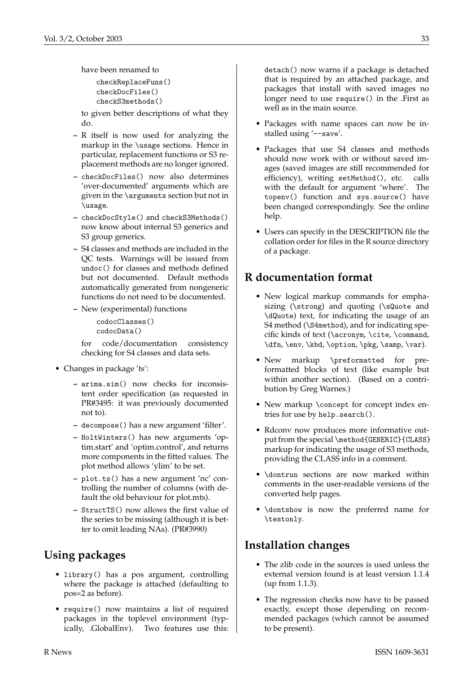have been renamed to

checkReplaceFuns() checkDocFiles() checkS3methods()

to given better descriptions of what they do.

- **–** R itself is now used for analyzing the markup in the \usage sections. Hence in particular, replacement functions or S3 replacement methods are no longer ignored.
- **–** checkDocFiles() now also determines 'over-documented' arguments which are given in the \arguments section but not in \usage.
- **–** checkDocStyle() and checkS3Methods() now know about internal S3 generics and S3 group generics.
- **–** S4 classes and methods are included in the QC tests. Warnings will be issued from undoc() for classes and methods defined but not documented. Default methods automatically generated from nongeneric functions do not need to be documented.
- **–** New (experimental) functions

codocClasses() codocData()

for code/documentation consistency checking for S4 classes and data sets.

- Changes in package 'ts':
	- **–** arima.sim() now checks for inconsistent order specification (as requested in PR#3495: it was previously documented not to).
	- **–** decompose() has a new argument 'filter'.
	- **–** HoltWinters() has new arguments 'optim.start' and 'optim.control', and returns more components in the fitted values. The plot method allows 'ylim' to be set.
	- **–** plot.ts() has a new argument 'nc' controlling the number of columns (with default the old behaviour for plot.mts).
	- **–** StructTS() now allows the first value of the series to be missing (although it is better to omit leading NAs). (PR#3990)

## **Using packages**

- library() has a pos argument, controlling where the package is attached (defaulting to pos=2 as before).
- require() now maintains a list of required packages in the toplevel environment (typically, .GlobalEnv). Two features use this:

detach() now warns if a package is detached that is required by an attached package, and packages that install with saved images no longer need to use require() in the .First as well as in the main source.

- Packages with name spaces can now be installed using '--save'.
- Packages that use S4 classes and methods should now work with or without saved images (saved images are still recommended for efficiency), writing setMethod(), etc. calls with the default for argument 'where'. The topenv() function and sys.source() have been changed correspondingly. See the online help.
- Users can specify in the DESCRIPTION file the collation order for files in the R source directory of a package.

## **R documentation format**

- New logical markup commands for emphasizing (\strong) and quoting (\sQuote and \dQuote) text, for indicating the usage of an S4 method (\S4method), and for indicating specific kinds of text (\acronym, \cite, \command, \dfn, \env, \kbd, \option, \pkg, \samp, \var).
- New markup \preformatted for preformatted blocks of text (like example but within another section). (Based on a contribution by Greg Warnes.)
- New markup \concept for concept index entries for use by help.search().
- Rdconv now produces more informative output from the special \method{GENERIC}{CLASS} markup for indicating the usage of S3 methods, providing the CLASS info in a comment.
- \dontrun sections are now marked within comments in the user-readable versions of the converted help pages.
- \dontshow is now the preferred name for \testonly.

## **Installation changes**

- The zlib code in the sources is used unless the external version found is at least version 1.1.4 (up from 1.1.3).
- The regression checks now have to be passed exactly, except those depending on recommended packages (which cannot be assumed to be present).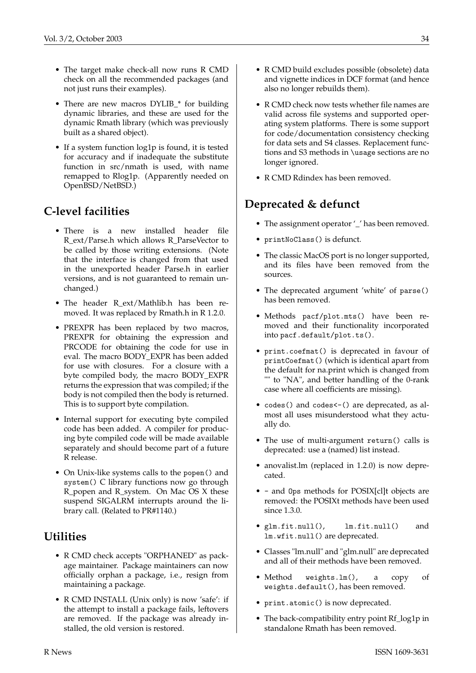- The target make check-all now runs R CMD check on all the recommended packages (and not just runs their examples).
- There are new macros DYLIB<sub>\_\*</sub> for building dynamic libraries, and these are used for the dynamic Rmath library (which was previously built as a shared object).
- If a system function log1p is found, it is tested for accuracy and if inadequate the substitute function in src/nmath is used, with name remapped to Rlog1p. (Apparently needed on OpenBSD/NetBSD.)

## **C-level facilities**

- There is a new installed header file R\_ext/Parse.h which allows R\_ParseVector to be called by those writing extensions. (Note that the interface is changed from that used in the unexported header Parse.h in earlier versions, and is not guaranteed to remain unchanged.)
- The header R\_ext/Mathlib.h has been removed. It was replaced by Rmath.h in R 1.2.0.
- PREXPR has been replaced by two macros, PREXPR for obtaining the expression and PRCODE for obtaining the code for use in eval. The macro BODY\_EXPR has been added for use with closures. For a closure with a byte compiled body, the macro BODY\_EXPR returns the expression that was compiled; if the body is not compiled then the body is returned. This is to support byte compilation.
- Internal support for executing byte compiled code has been added. A compiler for producing byte compiled code will be made available separately and should become part of a future R release.
- On Unix-like systems calls to the popen() and system() C library functions now go through R\_popen and R\_system. On Mac OS X these suspend SIGALRM interrupts around the library call. (Related to PR#1140.)

## **Utilities**

- R CMD check accepts "ORPHANED" as package maintainer. Package maintainers can now officially orphan a package, i.e., resign from maintaining a package.
- R CMD INSTALL (Unix only) is now 'safe': if the attempt to install a package fails, leftovers are removed. If the package was already installed, the old version is restored.
- R CMD build excludes possible (obsolete) data and vignette indices in DCF format (and hence also no longer rebuilds them).
- R CMD check now tests whether file names are valid across file systems and supported operating system platforms. There is some support for code/documentation consistency checking for data sets and S4 classes. Replacement functions and S3 methods in \usage sections are no longer ignored.
- R CMD Rdindex has been removed.

## **Deprecated & defunct**

- The assignment operator ' ' has been removed.
- printNoClass() is defunct.
- The classic MacOS port is no longer supported, and its files have been removed from the sources.
- The deprecated argument 'white' of parse() has been removed.
- Methods pacf/plot.mts() have been removed and their functionality incorporated into pacf.default/plot.ts().
- print.coefmat() is deprecated in favour of printCoefmat() (which is identical apart from the default for na.print which is changed from "" to "NA", and better handling of the 0-rank case where all coefficients are missing).
- codes() and codes<-() are deprecated, as almost all uses misunderstood what they actually do.
- The use of multi-argument return() calls is deprecated: use a (named) list instead.
- anovalist.lm (replaced in 1.2.0) is now deprecated.
- - and Ops methods for POSIX[cl]t objects are removed: the POSIXt methods have been used since 1.3.0.
- glm.fit.null(), lm.fit.null() and lm.wfit.null() are deprecated.
- Classes "lm.null" and "glm.null" are deprecated and all of their methods have been removed.
- Method weights.lm(), a copy of weights.default(), has been removed.
- print.atomic() is now deprecated.
- The back-compatibility entry point Rf\_log1p in standalone Rmath has been removed.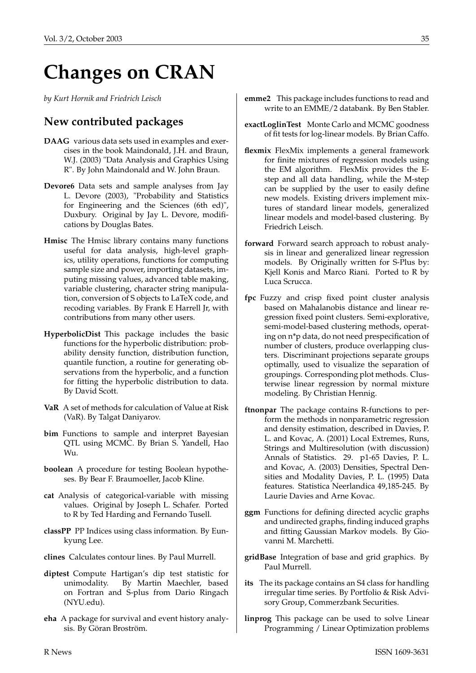## **Changes on CRAN**

<span id="page-34-0"></span>*by Kurt Hornik and Friedrich Leisch*

#### **New contributed packages**

- **DAAG** various data sets used in examples and exercises in the book Maindonald, J.H. and Braun, W.J. (2003) "Data Analysis and Graphics Using R". By John Maindonald and W. John Braun.
- **Devore6** Data sets and sample analyses from Jay L. Devore (2003), "Probability and Statistics for Engineering and the Sciences (6th ed)", Duxbury. Original by Jay L. Devore, modifications by Douglas Bates.
- **Hmisc** The Hmisc library contains many functions useful for data analysis, high-level graphics, utility operations, functions for computing sample size and power, importing datasets, imputing missing values, advanced table making, variable clustering, character string manipulation, conversion of S objects to LaTeX code, and recoding variables. By Frank E Harrell Jr, with contributions from many other users.
- **HyperbolicDist** This package includes the basic functions for the hyperbolic distribution: probability density function, distribution function, quantile function, a routine for generating observations from the hyperbolic, and a function for fitting the hyperbolic distribution to data. By David Scott.
- **VaR** A set of methods for calculation of Value at Risk (VaR). By Talgat Daniyarov.
- **bim** Functions to sample and interpret Bayesian QTL using MCMC. By Brian S. Yandell, Hao Wu.
- **boolean** A procedure for testing Boolean hypotheses. By Bear F. Braumoeller, Jacob Kline.
- **cat** Analysis of categorical-variable with missing values. Original by Joseph L. Schafer. Ported to R by Ted Harding and Fernando Tusell.
- **classPP** PP Indices using class information. By Eunkyung Lee.
- **clines** Calculates contour lines. By Paul Murrell.
- **diptest** Compute Hartigan's dip test statistic for unimodality. By Martin Maechler, based on Fortran and S-plus from Dario Ringach (NYU.edu).
- **eha** A package for survival and event history analysis. By Göran Broström.
- **emme2** This package includes functions to read and write to an EMME/2 databank. By Ben Stabler.
- **exactLoglinTest** Monte Carlo and MCMC goodness of fit tests for log-linear models. By Brian Caffo.
- **flexmix** FlexMix implements a general framework for finite mixtures of regression models using the EM algorithm. FlexMix provides the Estep and all data handling, while the M-step can be supplied by the user to easily define new models. Existing drivers implement mixtures of standard linear models, generalized linear models and model-based clustering. By Friedrich Leisch.
- **forward** Forward search approach to robust analysis in linear and generalized linear regression models. By Originally written for S-Plus by: Kjell Konis and Marco Riani. Ported to R by Luca Scrucca.
- **fpc** Fuzzy and crisp fixed point cluster analysis based on Mahalanobis distance and linear regression fixed point clusters. Semi-explorative, semi-model-based clustering methods, operating on n\*p data, do not need prespecification of number of clusters, produce overlapping clusters. Discriminant projections separate groups optimally, used to visualize the separation of groupings. Corresponding plot methods. Clusterwise linear regression by normal mixture modeling. By Christian Hennig.
- **ftnonpar** The package contains R-functions to perform the methods in nonparametric regression and density estimation, described in Davies, P. L. and Kovac, A. (2001) Local Extremes, Runs, Strings and Multiresolution (with discussion) Annals of Statistics. 29. p1-65 Davies, P. L. and Kovac, A. (2003) Densities, Spectral Densities and Modality Davies, P. L. (1995) Data features. Statistica Neerlandica 49,185-245. By Laurie Davies and Arne Kovac.
- **ggm** Functions for defining directed acyclic graphs and undirected graphs, finding induced graphs and fitting Gaussian Markov models. By Giovanni M. Marchetti.
- **gridBase** Integration of base and grid graphics. By Paul Murrell.
- **its** The its package contains an S4 class for handling irregular time series. By Portfolio & Risk Advisory Group, Commerzbank Securities.
- **linprog** This package can be used to solve Linear Programming / Linear Optimization problems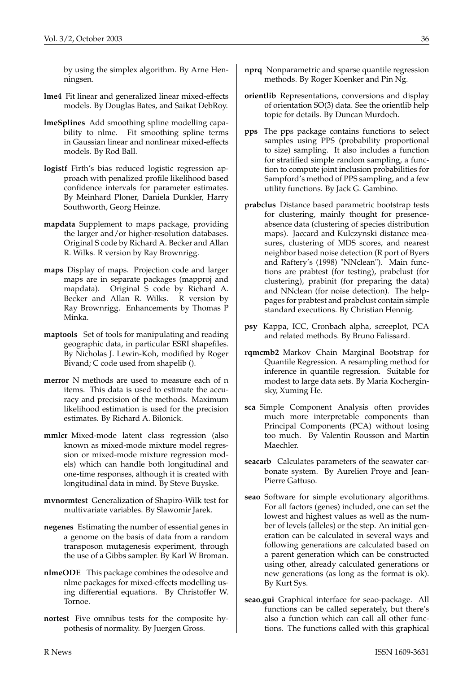by using the simplex algorithm. By Arne Henningsen.

- **lme4** Fit linear and generalized linear mixed-effects models. By Douglas Bates, and Saikat DebRoy.
- **lmeSplines** Add smoothing spline modelling capability to nlme. Fit smoothing spline terms in Gaussian linear and nonlinear mixed-effects models. By Rod Ball.
- **logistf** Firth's bias reduced logistic regression approach with penalized profile likelihood based confidence intervals for parameter estimates. By Meinhard Ploner, Daniela Dunkler, Harry Southworth, Georg Heinze.
- **mapdata** Supplement to maps package, providing the larger and/or higher-resolution databases. Original S code by Richard A. Becker and Allan R. Wilks. R version by Ray Brownrigg.
- **maps** Display of maps. Projection code and larger maps are in separate packages (mapproj and mapdata). Original S code by Richard A. Becker and Allan R. Wilks. R version by Ray Brownrigg. Enhancements by Thomas P Minka.
- **maptools** Set of tools for manipulating and reading geographic data, in particular ESRI shapefiles. By Nicholas J. Lewin-Koh, modified by Roger Bivand; C code used from shapelib ().
- **merror** N methods are used to measure each of n items. This data is used to estimate the accuracy and precision of the methods. Maximum likelihood estimation is used for the precision estimates. By Richard A. Bilonick.
- **mmlcr** Mixed-mode latent class regression (also known as mixed-mode mixture model regression or mixed-mode mixture regression models) which can handle both longitudinal and one-time responses, although it is created with longitudinal data in mind. By Steve Buyske.
- **mvnormtest** Generalization of Shapiro-Wilk test for multivariate variables. By Slawomir Jarek.
- **negenes** Estimating the number of essential genes in a genome on the basis of data from a random transposon mutagenesis experiment, through the use of a Gibbs sampler. By Karl W Broman.
- **nlmeODE** This package combines the odesolve and nlme packages for mixed-effects modelling using differential equations. By Christoffer W. Tornoe.
- **nortest** Five omnibus tests for the composite hypothesis of normality. By Juergen Gross.
- **nprq** Nonparametric and sparse quantile regression methods. By Roger Koenker and Pin Ng.
- **orientlib** Representations, conversions and display of orientation SO(3) data. See the orientlib help topic for details. By Duncan Murdoch.
- **pps** The pps package contains functions to select samples using PPS (probability proportional to size) sampling. It also includes a function for stratified simple random sampling, a function to compute joint inclusion probabilities for Sampford's method of PPS sampling, and a few utility functions. By Jack G. Gambino.
- **prabclus** Distance based parametric bootstrap tests for clustering, mainly thought for presenceabsence data (clustering of species distribution maps). Jaccard and Kulczynski distance measures, clustering of MDS scores, and nearest neighbor based noise detection (R port of Byers and Raftery's (1998) "NNclean"). Main functions are prabtest (for testing), prabclust (for clustering), prabinit (for preparing the data) and NNclean (for noise detection). The helppages for prabtest and prabclust contain simple standard executions. By Christian Hennig.
- **psy** Kappa, ICC, Cronbach alpha, screeplot, PCA and related methods. By Bruno Falissard.
- **rqmcmb2** Markov Chain Marginal Bootstrap for Quantile Regression. A resampling method for inference in quantile regression. Suitable for modest to large data sets. By Maria Kocherginsky, Xuming He.
- **sca** Simple Component Analysis often provides much more interpretable components than Principal Components (PCA) without losing too much. By Valentin Rousson and Martin Maechler.
- **seacarb** Calculates parameters of the seawater carbonate system. By Aurelien Proye and Jean-Pierre Gattuso.
- **seao** Software for simple evolutionary algorithms. For all factors (genes) included, one can set the lowest and highest values as well as the number of levels (alleles) or the step. An initial generation can be calculated in several ways and following generations are calculated based on a parent generation which can be constructed using other, already calculated generations or new generations (as long as the format is ok). By Kurt Sys.
- **seao.gui** Graphical interface for seao-package. All functions can be called seperately, but there's also a function which can call all other functions. The functions called with this graphical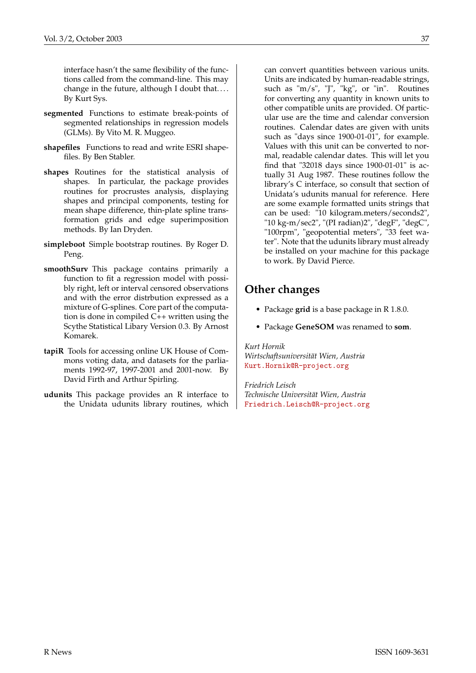interface hasn't the same flexibility of the functions called from the command-line. This may change in the future, although I doubt that. . . . By Kurt Sys.

- **segmented** Functions to estimate break-points of segmented relationships in regression models (GLMs). By Vito M. R. Muggeo.
- **shapefiles** Functions to read and write ESRI shapefiles. By Ben Stabler.
- **shapes** Routines for the statistical analysis of shapes. In particular, the package provides routines for procrustes analysis, displaying shapes and principal components, testing for mean shape difference, thin-plate spline transformation grids and edge superimposition methods. By Ian Dryden.
- **simpleboot** Simple bootstrap routines. By Roger D. Peng.
- **smoothSurv** This package contains primarily a function to fit a regression model with possibly right, left or interval censored observations and with the error distrbution expressed as a mixture of G-splines. Core part of the computation is done in compiled C++ written using the Scythe Statistical Libary Version 0.3. By Arnost Komarek.
- **tapiR** Tools for accessing online UK House of Commons voting data, and datasets for the parliaments 1992-97, 1997-2001 and 2001-now. By David Firth and Arthur Spirling.
- **udunits** This package provides an R interface to the Unidata udunits library routines, which

can convert quantities between various units. Units are indicated by human-readable strings, such as "m/s", "J", "kg", or "in". Routines for converting any quantity in known units to other compatible units are provided. Of particular use are the time and calendar conversion routines. Calendar dates are given with units such as "days since 1900-01-01", for example. Values with this unit can be converted to normal, readable calendar dates. This will let you find that "32018 days since 1900-01-01" is actually 31 Aug 1987. These routines follow the library's C interface, so consult that section of Unidata's udunits manual for reference. Here are some example formatted units strings that can be used: "10 kilogram.meters/seconds2", "10 kg-m/sec2", "(PI radian)2", "degF", "degC", "100rpm", "geopotential meters", "33 feet water". Note that the udunits library must already be installed on your machine for this package to work. By David Pierce.

### **Other changes**

- Package **grid** is a base package in R 1.8.0.
- Package **GeneSOM** was renamed to **som**.

*Kurt Hornik Wirtschaftsuniversität Wien, Austria* [Kurt.Hornik@R-project.org](mailto:Kurt.Hornik@R-project.org)

*Friedrich Leisch Technische Universität Wien, Austria* [Friedrich.Leisch@R-project.org](mailto:Friedrich.Leisch@R-project.org)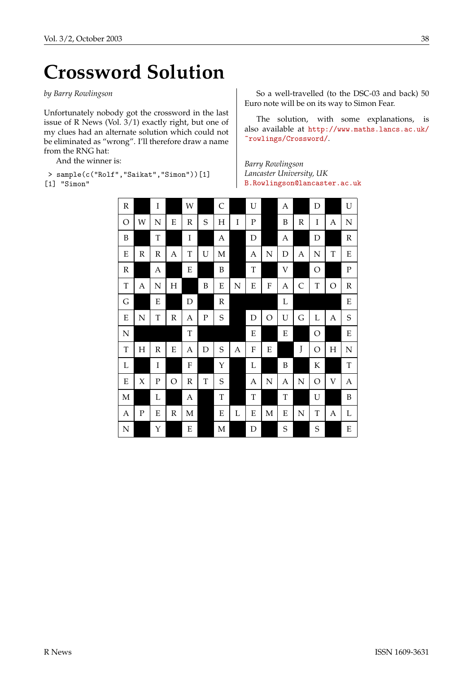# **Crossword Solution**

<span id="page-37-0"></span>*by Barry Rowlingson*

Unfortunately nobody got the crossword in the last issue of R News (Vol. 3/1) exactly right, but one of my clues had an alternate solution which could not be eliminated as "wrong". I'll therefore draw a name from the RNG hat:

And the winner is:

> sample(c("Rolf","Saikat","Simon"))[1]

[1] "Simon"

So a well-travelled (to the DSC-03 and back) 50 Euro note will be on its way to Simon Fear.

The solution, with some explanations, is also available at [http://www.maths.lancs.ac.uk/](http://www.maths.lancs.ac.uk/~rowlings/Crossword/) [~rowlings/Crossword/](http://www.maths.lancs.ac.uk/~rowlings/Crossword/).

*Barry Rowlingson Lancaster University, UK* [B.Rowlingson@lancaster.ac.uk](mailto:B.Rowlingson@lancaster.ac.uk)

| $\, {\bf R}$  |           | I                |             | W           |             | $\mathsf C$      |   | U           |           | A                       |              | D             |               | U             |
|---------------|-----------|------------------|-------------|-------------|-------------|------------------|---|-------------|-----------|-------------------------|--------------|---------------|---------------|---------------|
| $\circ$       | W         | $\mathbb N$      | E           | R           | S           | $H_{\rm}$        | I | $\mathbf P$ |           | B                       | R            | I             | A             | N             |
| $\, {\bf B}$  |           | $\mathbf T$      |             | I           |             | $\boldsymbol{A}$ |   | $\mathbf D$ |           | $\boldsymbol{A}$        |              | D             |               | ${\mathbb R}$ |
| ${\bf E}$     | R         | R                | Α           | $\mathbf T$ | U           | M                |   | Α           | N         | $\mathbf D$             | A            | N             | $\mathbf T$   | ${\bf E}$     |
| ${\mathbb R}$ |           | $\boldsymbol{A}$ |             | ${\bf E}$   |             | $\boldsymbol{B}$ |   | T           |           | $\overline{\mathsf{V}}$ |              | O             |               | $\mathbf P$   |
| $\mathbf T$   | Α         | N                | H           |             | B           | E                | N | E           | ${\bf F}$ | A                       | $\mathsf{C}$ | $\mathbf T$   | $\mathcal{O}$ | $\mathbb R$   |
| G             |           | ${\bf E}$        |             | $\mathbf D$ |             | ${\mathbb R}$    |   |             |           | L                       |              |               |               | ${\bf E}$     |
| ${\bf E}$     | N         | T                | $\mathbb R$ | A           | ${\bf P}$   | $\mathbf S$      |   | D           | O         | U                       | G            | L             | A             | $\mathbf S$   |
| ${\bf N}$     |           |                  |             | $\mathbf T$ |             |                  |   | ${\bf E}$   |           | E                       |              | O             |               | ${\bf E}$     |
| $\mathbf T$   | Η         | $\mathbb R$      | E           | A           | $\mathbf D$ | S                | A | ${\bf F}$   | ${\bf E}$ |                         | J            | $\mathcal{O}$ | H             | N             |
| L             |           | I                |             | ${\bf F}$   |             | Y                |   | L           |           | $\boldsymbol{B}$        |              | $\rm K$       |               | T             |
| E             | X         | $\mathbf P$      | O           | $\mathbb R$ | $\mathbf T$ | S                |   | A           | N         | A                       | ${\bf N}$    | O             | V             | A             |
| $\mathbf M$   |           | L                |             | A           |             | T                |   | T           |           | $\mathbf T$             |              | U             |               | $\, {\bf B}$  |
| A             | ${\bf P}$ | E                | $\mathbb R$ | M           |             | ${\bf E}$        | L | ${\bf E}$   | M         | E                       | ${\bf N}$    | $\mathbf T$   | A             | L             |
| ${\bf N}$     |           | Y                |             | ${\bf E}$   |             | M                |   | $\mathbf D$ |           | $\mathbf S$             |              | $\mathbf S$   |               | ${\bf E}$     |